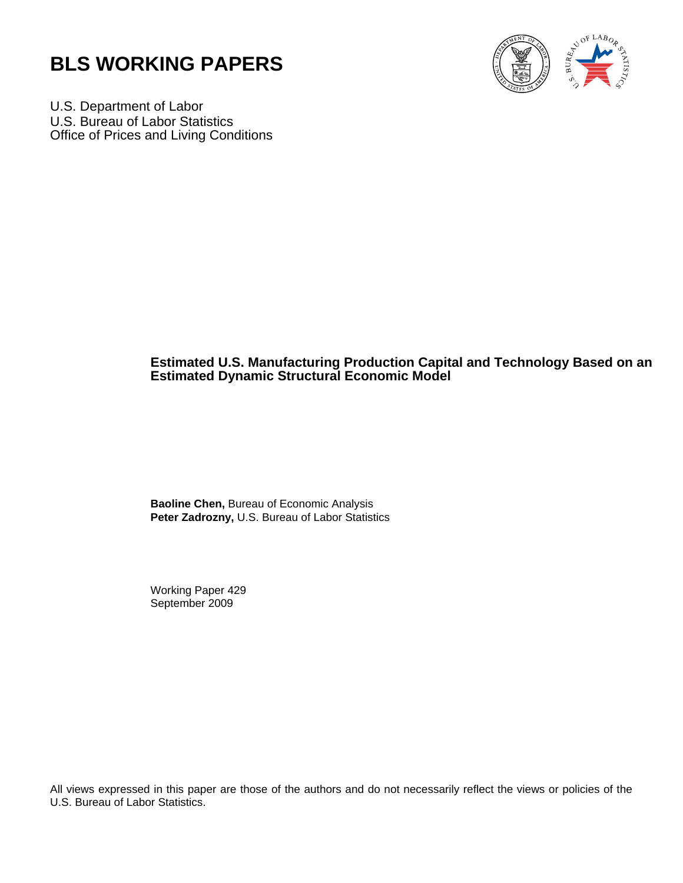



U.S. Department of Labor U.S. Bureau of Labor Statistics Office of Prices and Living Conditions

# **Estimated U.S. Manufacturing Production Capital and Technology Based on an Estimated Dynamic Structural Economic Model**

**Baoline Chen,** Bureau of Economic Analysis **Peter Zadrozny,** U.S. Bureau of Labor Statistics

Working Paper 429 September 2009

All views expressed in this paper are those of the authors and do not necessarily reflect the views or policies of the U.S. Bureau of Labor Statistics.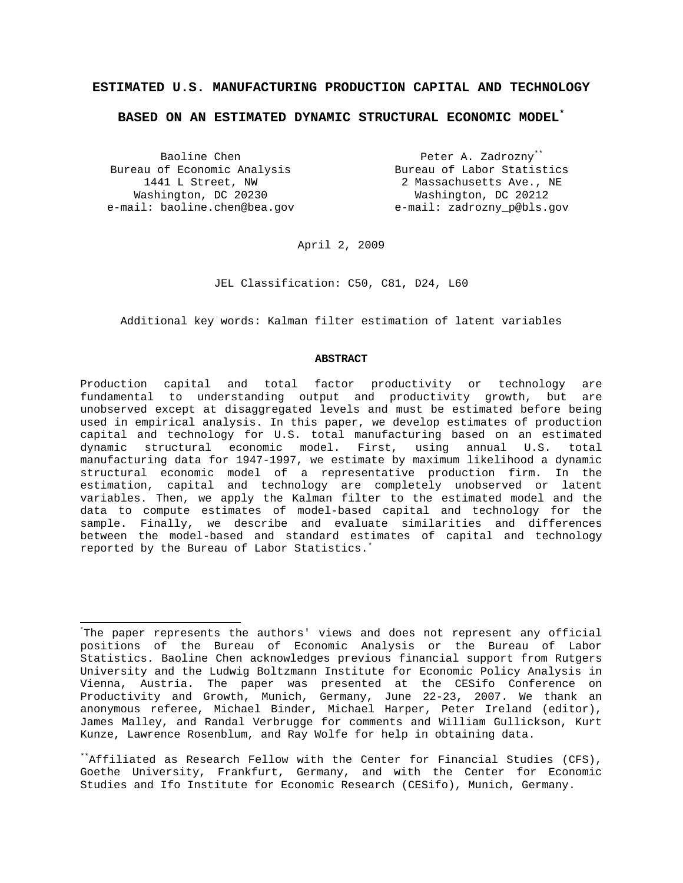## **ESTIMATED U.S. MANUFACTURING PRODUCTION CAPITAL AND TECHNOLOGY**

## **BASED ON AN ESTIMATED DYNAMIC STRUCTURAL ECONOMIC MODEL\***

Baoline Chen Bureau of Economic Analysis 1441 L Street, NW Washington, DC 20230

Ē,

e-mail: baoline.chen@bea.gov e-mail: zadrozny\_p@bls.gov Peter A. Zadrozny\*\* Bureau of Labor Statistics 2 Massachusetts Ave., NE Washington, DC 20212

April 2, 2009

JEL Classification: C50, C81, D24, L60

Additional key words: Kalman filter estimation of latent variables

#### **ABSTRACT**

Production capital and total factor productivity or technology are fundamental to understanding output and productivity growth, but are unobserved except at disaggregated levels and must be estimated before being used in empirical analysis. In this paper, we develop estimates of production capital and technology for U.S. total manufacturing based on an estimated dynamic structural economic model. First, using annual U.S. total manufacturing data for 1947-1997, we estimate by maximum likelihood a dynamic structural economic model of a representative production firm. In the estimation, capital and technology are completely unobserved or latent variables. Then, we apply the Kalman filter to the estimated model and the data to compute estimates of model-based capital and technology for the sample. Finally, we describe and evaluate similarities and differences between the model-based and standard estimates of capital and technology reported by the Bureau of Labor Statistics.<sup>\*</sup>

<sup>\*</sup> The paper represents the authors' views and does not represent any official positions of the Bureau of Economic Analysis or the Bureau of Labor Statistics. Baoline Chen acknowledges previous financial support from Rutgers University and the Ludwig Boltzmann Institute for Economic Policy Analysis in Vienna, Austria. The paper was presented at the CESifo Conference on Productivity and Growth, Munich, Germany, June 22-23, 2007. We thank an anonymous referee, Michael Binder, Michael Harper, Peter Ireland (editor), James Malley, and Randal Verbrugge for comments and William Gullickson, Kurt Kunze, Lawrence Rosenblum, and Ray Wolfe for help in obtaining data.

<sup>\*\*</sup>Affiliated as Research Fellow with the Center for Financial Studies (CFS), Goethe University, Frankfurt, Germany, and with the Center for Economic Studies and Ifo Institute for Economic Research (CESifo), Munich, Germany.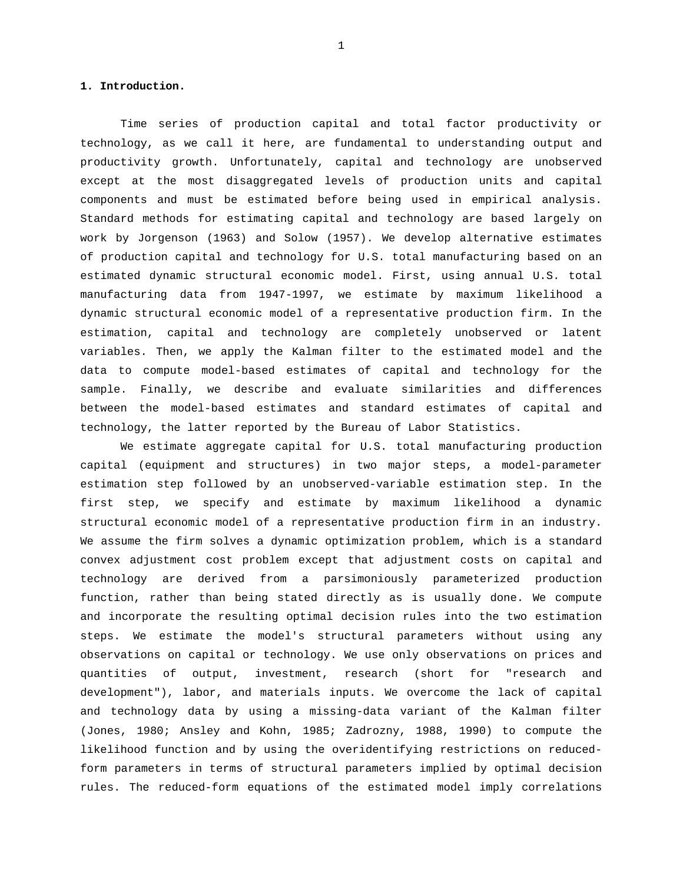## **1. Introduction.**

Time series of production capital and total factor productivity or technology, as we call it here, are fundamental to understanding output and productivity growth. Unfortunately, capital and technology are unobserved except at the most disaggregated levels of production units and capital components and must be estimated before being used in empirical analysis. Standard methods for estimating capital and technology are based largely on work by Jorgenson (1963) and Solow (1957). We develop alternative estimates of production capital and technology for U.S. total manufacturing based on an estimated dynamic structural economic model. First, using annual U.S. total manufacturing data from 1947-1997, we estimate by maximum likelihood a dynamic structural economic model of a representative production firm. In the estimation, capital and technology are completely unobserved or latent variables. Then, we apply the Kalman filter to the estimated model and the data to compute model-based estimates of capital and technology for the sample. Finally, we describe and evaluate similarities and differences between the model-based estimates and standard estimates of capital and technology, the latter reported by the Bureau of Labor Statistics.

We estimate aggregate capital for U.S. total manufacturing production capital (equipment and structures) in two major steps, a model-parameter estimation step followed by an unobserved-variable estimation step. In the first step, we specify and estimate by maximum likelihood a dynamic structural economic model of a representative production firm in an industry. We assume the firm solves a dynamic optimization problem, which is a standard convex adjustment cost problem except that adjustment costs on capital and technology are derived from a parsimoniously parameterized production function, rather than being stated directly as is usually done. We compute and incorporate the resulting optimal decision rules into the two estimation steps. We estimate the model's structural parameters without using any observations on capital or technology. We use only observations on prices and quantities of output, investment, research (short for "research and development"), labor, and materials inputs. We overcome the lack of capital and technology data by using a missing-data variant of the Kalman filter (Jones, 1980; Ansley and Kohn, 1985; Zadrozny, 1988, 1990) to compute the likelihood function and by using the overidentifying restrictions on reducedform parameters in terms of structural parameters implied by optimal decision rules. The reduced-form equations of the estimated model imply correlations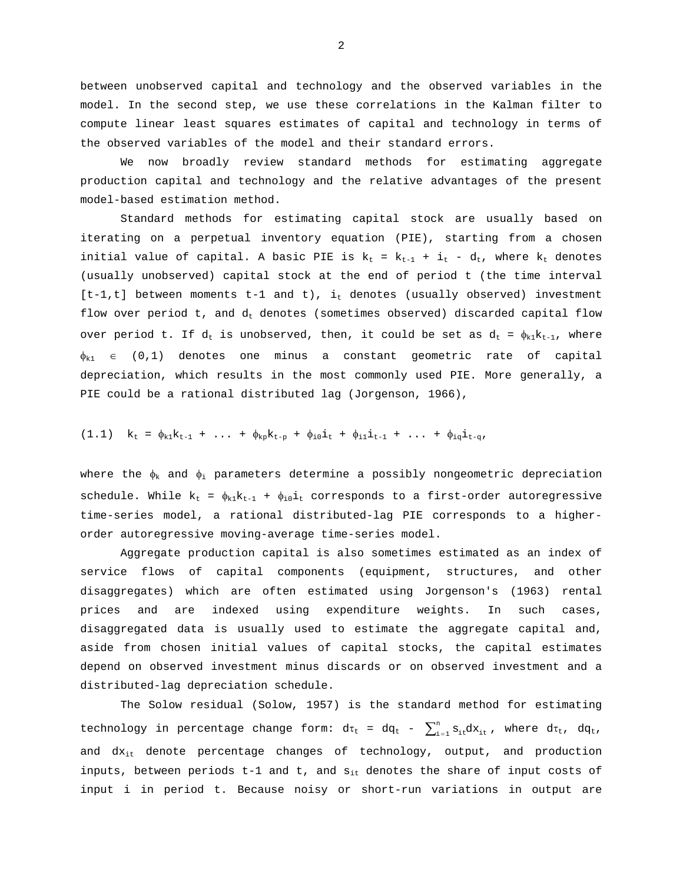between unobserved capital and technology and the observed variables in the model. In the second step, we use these correlations in the Kalman filter to compute linear least squares estimates of capital and technology in terms of the observed variables of the model and their standard errors.

We now broadly review standard methods for estimating aggregate production capital and technology and the relative advantages of the present model-based estimation method.

Standard methods for estimating capital stock are usually based on iterating on a perpetual inventory equation (PIE), starting from a chosen initial value of capital. A basic PIE is  $k_t = k_{t-1} + i_t - d_t$ , where  $k_t$  denotes (usually unobserved) capital stock at the end of period t (the time interval  $[t-1,t]$  between moments t-1 and t),  $i_t$  denotes (usually observed) investment flow over period t, and  $d_t$  denotes (sometimes observed) discarded capital flow over period t. If  $d_t$  is unobserved, then, it could be set as  $d_t = \phi_{k1}k_{t-1}$ , where  $\phi_{k1}$   $\in$  (0,1) denotes one minus a constant geometric rate of capital depreciation, which results in the most commonly used PIE. More generally, a PIE could be a rational distributed lag (Jorgenson, 1966),

(1.1)  $k_t = \phi_{k1}k_{t-1} + ... + \phi_{kp}k_{t-p} + \phi_{i0}i_t + \phi_{i1}i_{t-1} + ... + \phi_{iq}i_{t-q}$ 

where the  $\phi_k$  and  $\phi_i$  parameters determine a possibly nongeometric depreciation schedule. While  $k_t = \phi_{k1} k_{t-1} + \phi_{i0} i_t$  corresponds to a first-order autoregressive time-series model, a rational distributed-lag PIE corresponds to a higherorder autoregressive moving-average time-series model.

Aggregate production capital is also sometimes estimated as an index of service flows of capital components (equipment, structures, and other disaggregates) which are often estimated using Jorgenson's (1963) rental prices and are indexed using expenditure weights. In such cases, disaggregated data is usually used to estimate the aggregate capital and, aside from chosen initial values of capital stocks, the capital estimates depend on observed investment minus discards or on observed investment and a distributed-lag depreciation schedule.

The Solow residual (Solow, 1957) is the standard method for estimating technology in percentage change form:  $d\tau_t$  =  $dq_t$  -  $\sum_{i=1}^n s_{it}dx_{it}$ , where  $d\tau_t$ ,  $dq_t$ , and dx<sub>it</sub> denote percentage changes of technology, output, and production inputs, between periods  $t-1$  and  $t$ , and  $s_{it}$  denotes the share of input costs of input i in period t. Because noisy or short-run variations in output are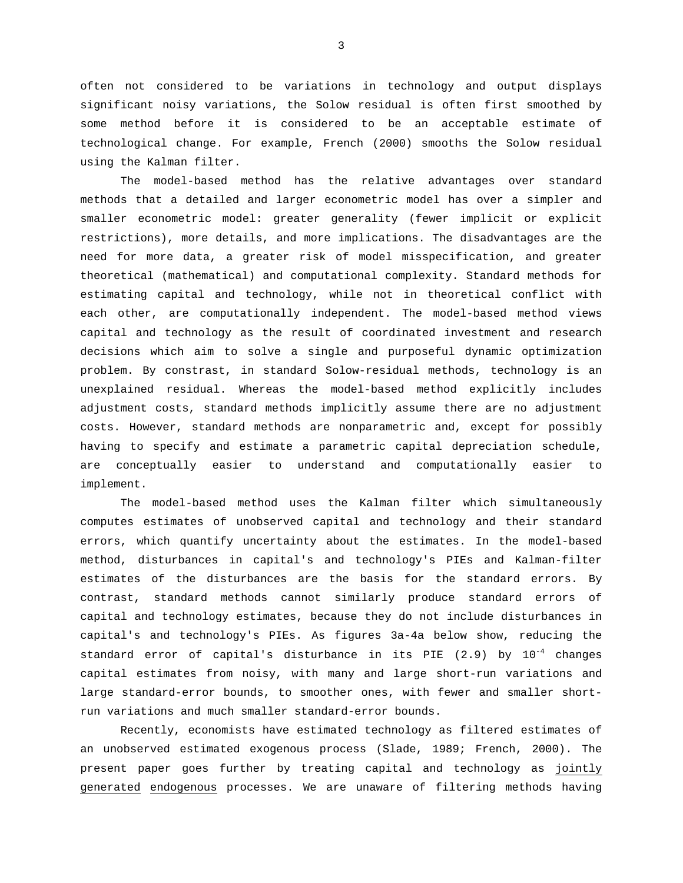often not considered to be variations in technology and output displays significant noisy variations, the Solow residual is often first smoothed by some method before it is considered to be an acceptable estimate of technological change. For example, French (2000) smooths the Solow residual using the Kalman filter.

The model-based method has the relative advantages over standard methods that a detailed and larger econometric model has over a simpler and smaller econometric model: greater generality (fewer implicit or explicit restrictions), more details, and more implications. The disadvantages are the need for more data, a greater risk of model misspecification, and greater theoretical (mathematical) and computational complexity. Standard methods for estimating capital and technology, while not in theoretical conflict with each other, are computationally independent. The model-based method views capital and technology as the result of coordinated investment and research decisions which aim to solve a single and purposeful dynamic optimization problem. By constrast, in standard Solow-residual methods, technology is an unexplained residual. Whereas the model-based method explicitly includes adjustment costs, standard methods implicitly assume there are no adjustment costs. However, standard methods are nonparametric and, except for possibly having to specify and estimate a parametric capital depreciation schedule, are conceptually easier to understand and computationally easier to implement.

The model-based method uses the Kalman filter which simultaneously computes estimates of unobserved capital and technology and their standard errors, which quantify uncertainty about the estimates. In the model-based method, disturbances in capital's and technology's PIEs and Kalman-filter estimates of the disturbances are the basis for the standard errors. By contrast, standard methods cannot similarly produce standard errors of capital and technology estimates, because they do not include disturbances in capital's and technology's PIEs. As figures 3a-4a below show, reducing the standard error of capital's disturbance in its PIE  $(2.9)$  by  $10^{-4}$  changes capital estimates from noisy, with many and large short-run variations and large standard-error bounds, to smoother ones, with fewer and smaller shortrun variations and much smaller standard-error bounds.

Recently, economists have estimated technology as filtered estimates of an unobserved estimated exogenous process (Slade, 1989; French, 2000). The present paper goes further by treating capital and technology as jointly generated endogenous processes. We are unaware of filtering methods having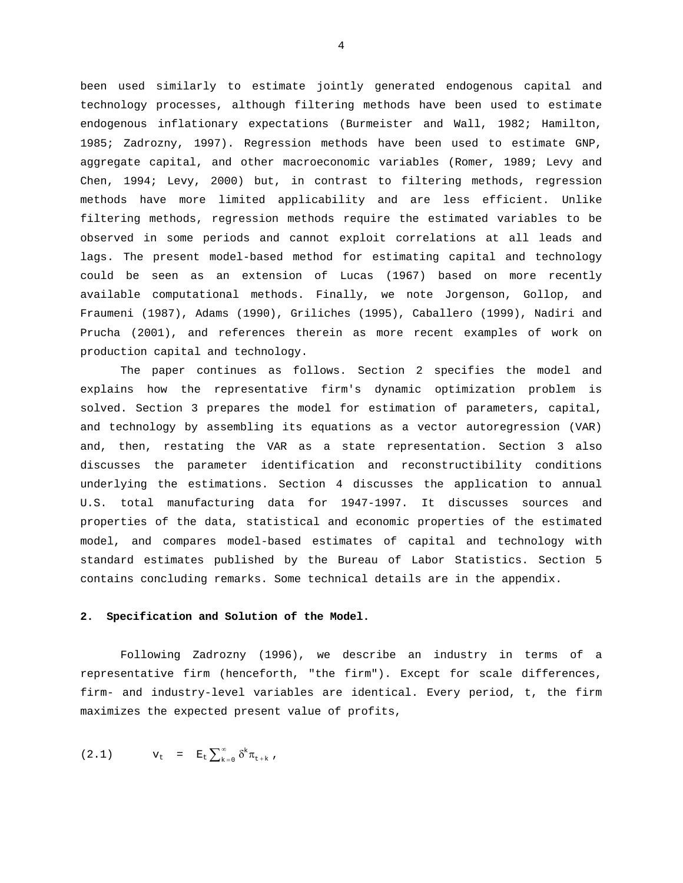been used similarly to estimate jointly generated endogenous capital and technology processes, although filtering methods have been used to estimate endogenous inflationary expectations (Burmeister and Wall, 1982; Hamilton, 1985; Zadrozny, 1997). Regression methods have been used to estimate GNP, aggregate capital, and other macroeconomic variables (Romer, 1989; Levy and Chen, 1994; Levy, 2000) but, in contrast to filtering methods, regression methods have more limited applicability and are less efficient. Unlike filtering methods, regression methods require the estimated variables to be observed in some periods and cannot exploit correlations at all leads and lags. The present model-based method for estimating capital and technology could be seen as an extension of Lucas (1967) based on more recently available computational methods. Finally, we note Jorgenson, Gollop, and Fraumeni (1987), Adams (1990), Griliches (1995), Caballero (1999), Nadiri and Prucha (2001), and references therein as more recent examples of work on production capital and technology.

The paper continues as follows. Section 2 specifies the model and explains how the representative firm's dynamic optimization problem is solved. Section 3 prepares the model for estimation of parameters, capital, and technology by assembling its equations as a vector autoregression (VAR) and, then, restating the VAR as a state representation. Section 3 also discusses the parameter identification and reconstructibility conditions underlying the estimations. Section 4 discusses the application to annual U.S. total manufacturing data for 1947-1997. It discusses sources and properties of the data, statistical and economic properties of the estimated model, and compares model-based estimates of capital and technology with standard estimates published by the Bureau of Labor Statistics. Section 5 contains concluding remarks. Some technical details are in the appendix.

#### **2. Specification and Solution of the Model.**

Following Zadrozny (1996), we describe an industry in terms of a representative firm (henceforth, "the firm"). Except for scale differences, firm- and industry-level variables are identical. Every period, t, the firm maximizes the expected present value of profits,

(2.1) 
$$
v_t = E_t \sum_{k=0}^{\infty} \delta^k \pi_{t+k}
$$
,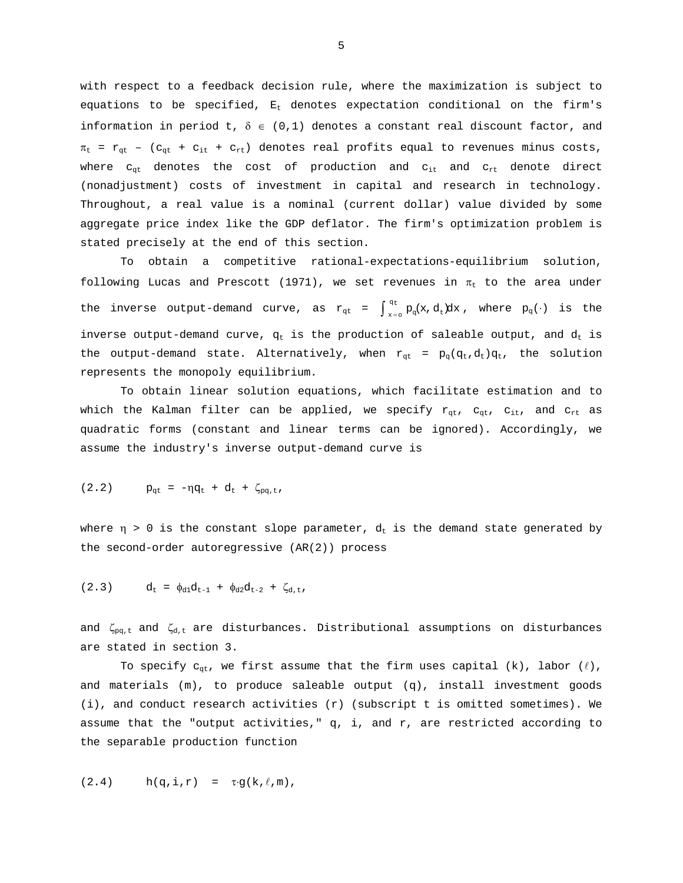with respect to a feedback decision rule, where the maximization is subject to equations to be specified,  $E_t$  denotes expectation conditional on the firm's information in period t,  $\delta \in (0,1)$  denotes a constant real discount factor, and  $\pi_{t}$  =  $r_{qt}$  - ( $c_{qt}$  +  $c_{it}$  +  $c_{rt}$ ) denotes real profits equal to revenues minus costs, where  $c_{qt}$  denotes the cost of production and  $c_{it}$  and  $c_{rt}$  denote direct (nonadjustment) costs of investment in capital and research in technology. Throughout, a real value is a nominal (current dollar) value divided by some aggregate price index like the GDP deflator. The firm's optimization problem is stated precisely at the end of this section.

 To obtain a competitive rational-expectations-equilibrium solution, following Lucas and Prescott (1971), we set revenues in  $\pi_t$  to the area under the inverse output-demand curve, as  $r_{qt} = \int_{x=0}^{q_t} p_q(x, d_t) dx$ , where  $p_q(\cdot)$  is the inverse output-demand curve,  $q_t$  is the production of saleable output, and  $d_t$  is the output-demand state. Alternatively, when  $r_{qt} = p_q(q_t, d_t)q_t$ , the solution represents the monopoly equilibrium.

 To obtain linear solution equations, which facilitate estimation and to which the Kalman filter can be applied, we specify  $r_{qt}$ ,  $c_{qt}$ ,  $c_{it}$ , and  $c_{rt}$  as quadratic forms (constant and linear terms can be ignored). Accordingly, we assume the industry's inverse output-demand curve is

(2.2) 
$$
p_{qt} = -\eta q_t + d_t + \zeta_{pq,t}
$$
,

where  $\eta > 0$  is the constant slope parameter,  $d_t$  is the demand state generated by the second-order autoregressive (AR(2)) process

(2.3)  $d_t = \phi_{d1}d_{t-1} + \phi_{d2}d_{t-2} + \zeta_{d,t}$ 

and  $\zeta_{pq,t}$  and  $\zeta_{d,t}$  are disturbances. Distributional assumptions on disturbances are stated in section 3.

To specify  $c_{qt}$ , we first assume that the firm uses capital (k), labor ( $\ell$ ), and materials (m), to produce saleable output (q), install investment goods (i), and conduct research activities (r) (subscript t is omitted sometimes). We assume that the "output activities," q, i, and r, are restricted according to the separable production function

$$
(2.4) \qquad h(q,i,r) = \tau g(k,\ell,m),
$$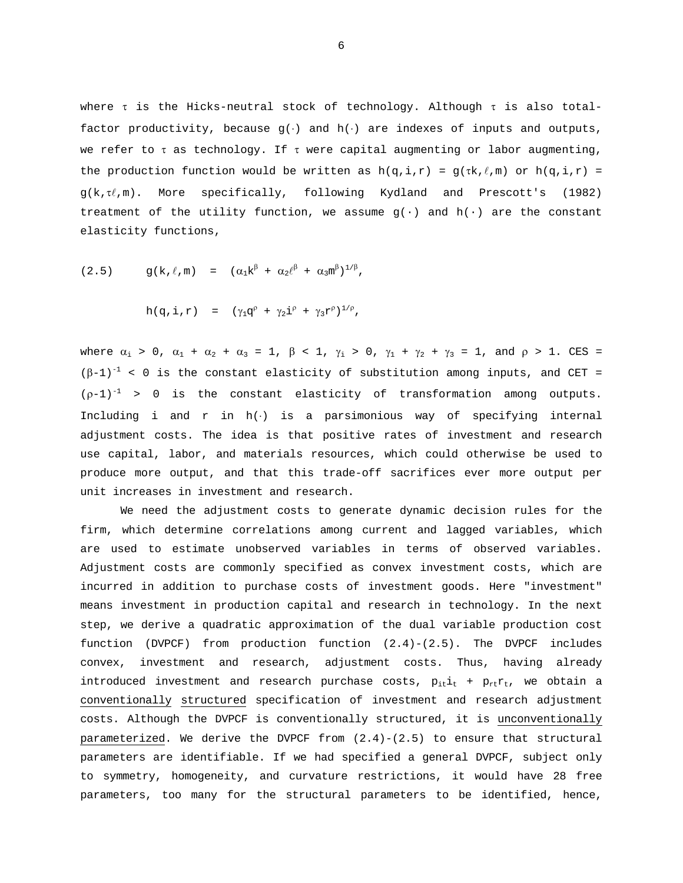where  $\tau$  is the Hicks-neutral stock of technology. Although  $\tau$  is also totalfactor productivity, because  $g(\cdot)$  and  $h(\cdot)$  are indexes of inputs and outputs, we refer to τ as technology. If τ were capital augmenting or labor augmenting, the production function would be written as  $h(q,i,r) = g(\tau k, \ell, m)$  or  $h(q,i,r) =$ g(k,τl,m). More specifically, following Kydland and Prescott's (1982) treatment of the utility function, we assume  $g(\cdot)$  and  $h(\cdot)$  are the constant elasticity functions,

$$
(2.5) \t g(k, \ell, m) = (\alpha_1 k^{\beta} + \alpha_2 \ell^{\beta} + \alpha_3 m^{\beta})^{1/\beta},
$$

$$
h(q, i, r) = (\gamma_1 q^p + \gamma_2 i^p + \gamma_3 r^p)^{1/p},
$$

where  $\alpha_1 > 0$ ,  $\alpha_1 + \alpha_2 + \alpha_3 = 1$ ,  $\beta < 1$ ,  $\gamma_1 > 0$ ,  $\gamma_1 + \gamma_2 + \gamma_3 = 1$ , and  $\rho > 1$ . CES =  $(\beta-1)^{-1}$  < 0 is the constant elasticity of substitution among inputs, and CET =  $(p-1)^{-1}$  > 0 is the constant elasticity of transformation among outputs. Including i and r in  $h(·)$  is a parsimonious way of specifying internal adjustment costs. The idea is that positive rates of investment and research use capital, labor, and materials resources, which could otherwise be used to produce more output, and that this trade-off sacrifices ever more output per unit increases in investment and research.

We need the adjustment costs to generate dynamic decision rules for the firm, which determine correlations among current and lagged variables, which are used to estimate unobserved variables in terms of observed variables. Adjustment costs are commonly specified as convex investment costs, which are incurred in addition to purchase costs of investment goods. Here "investment" means investment in production capital and research in technology. In the next step, we derive a quadratic approximation of the dual variable production cost function (DVPCF) from production function (2.4)-(2.5). The DVPCF includes convex, investment and research, adjustment costs. Thus, having already introduced investment and research purchase costs,  $p_{it}$ <sub>it</sub> +  $p_{rt}$ <sub>rt</sub><sub>r</sub>, we obtain a conventionally structured specification of investment and research adjustment costs. Although the DVPCF is conventionally structured, it is unconventionally parameterized. We derive the DVPCF from  $(2.4)-(2.5)$  to ensure that structural parameters are identifiable. If we had specified a general DVPCF, subject only to symmetry, homogeneity, and curvature restrictions, it would have 28 free parameters, too many for the structural parameters to be identified, hence,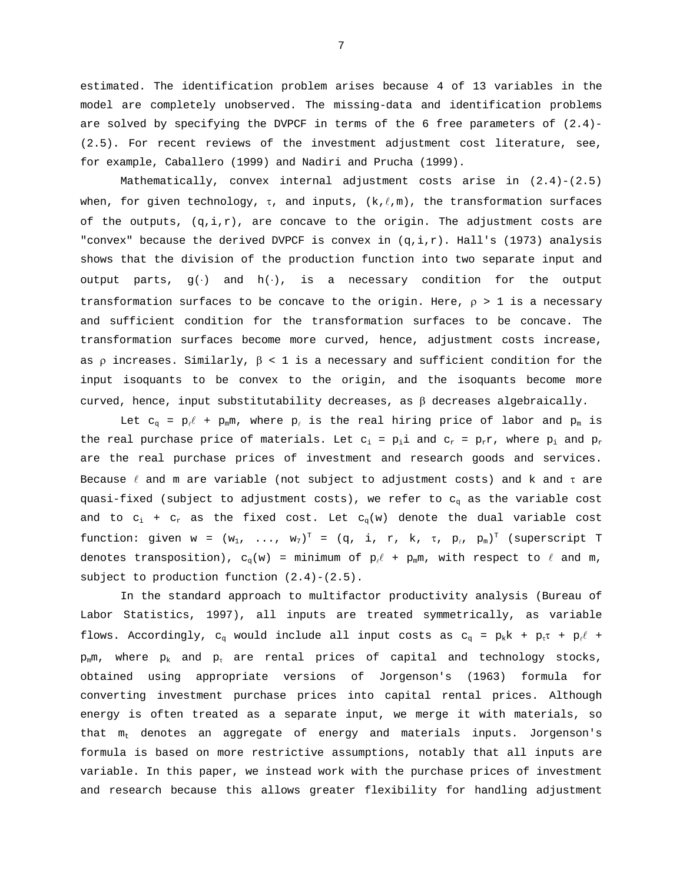estimated. The identification problem arises because 4 of 13 variables in the model are completely unobserved. The missing-data and identification problems are solved by specifying the DVPCF in terms of the 6 free parameters of  $(2.4)$ -(2.5). For recent reviews of the investment adjustment cost literature, see, for example, Caballero (1999) and Nadiri and Prucha (1999).

 Mathematically, convex internal adjustment costs arise in (2.4)-(2.5) when, for given technology,  $\tau$ , and inputs,  $(k, \ell, m)$ , the transformation surfaces of the outputs,  $(q,i,r)$ , are concave to the origin. The adjustment costs are "convex" because the derived DVPCF is convex in  $(q,i,r)$ . Hall's (1973) analysis shows that the division of the production function into two separate input and output parts, g(⋅) and h(⋅), is a necessary condition for the output transformation surfaces to be concave to the origin. Here,  $\rho > 1$  is a necessary and sufficient condition for the transformation surfaces to be concave. The transformation surfaces become more curved, hence, adjustment costs increase, as  $\rho$  increases. Similarly,  $\beta$  < 1 is a necessary and sufficient condition for the input isoquants to be convex to the origin, and the isoquants become more curved, hence, input substitutability decreases, as  $\beta$  decreases algebraically.

Let  $c_q = p_\ell \ell + p_m m$ , where  $p_\ell$  is the real hiring price of labor and  $p_m$  is the real purchase price of materials. Let  $c_i = p_i i$  and  $c_r = p_r r$ , where  $p_i$  and  $p_r$ are the real purchase prices of investment and research goods and services. Because  $\ell$  and m are variable (not subject to adjustment costs) and k and t are quasi-fixed (subject to adjustment costs), we refer to  $c_q$  as the variable cost and to  $c_i$  +  $c_r$  as the fixed cost. Let  $c_q(w)$  denote the dual variable cost function: given w =  $(w_1, ..., w_7)^T = (q, i, r, k, \tau, p_{\ell}, p_m)^T$  (superscript T denotes transposition),  $c_q(w)$  = minimum of  $p_\ell \ell + p_m m$ , with respect to  $\ell$  and m, subject to production function (2.4)-(2.5).

 In the standard approach to multifactor productivity analysis (Bureau of Labor Statistics, 1997), all inputs are treated symmetrically, as variable flows. Accordingly, c<sub>q</sub> would include all input costs as  $c_q = p_k k + p_t \tau + p_\ell \ell +$  $p_{m}$ m, where  $p_{k}$  and  $p_{t}$  are rental prices of capital and technology stocks, obtained using appropriate versions of Jorgenson's (1963) formula for converting investment purchase prices into capital rental prices. Although energy is often treated as a separate input, we merge it with materials, so that  $m_t$  denotes an aggregate of energy and materials inputs. Jorgenson's formula is based on more restrictive assumptions, notably that all inputs are variable. In this paper, we instead work with the purchase prices of investment and research because this allows greater flexibility for handling adjustment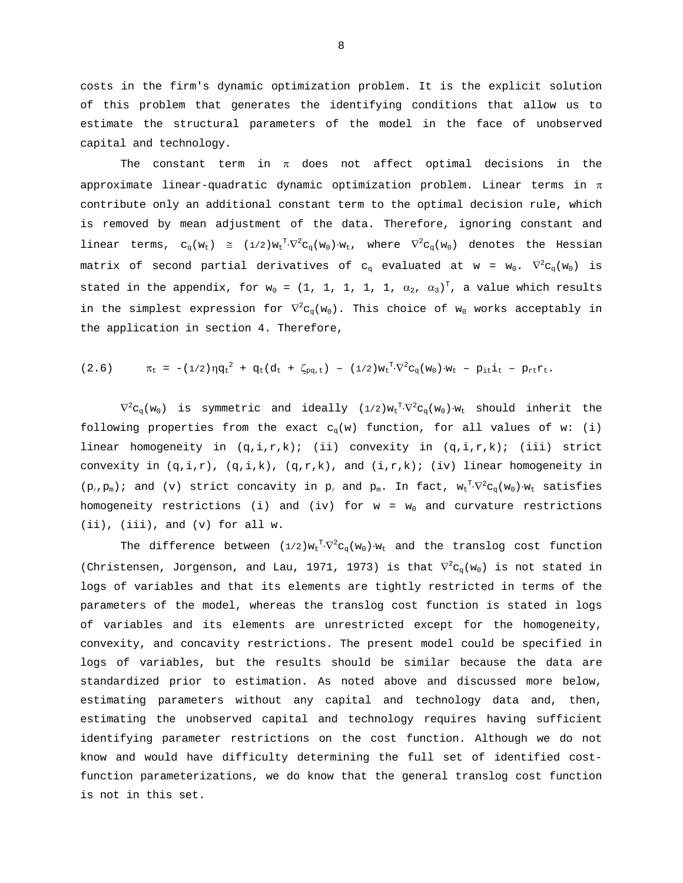costs in the firm's dynamic optimization problem. It is the explicit solution of this problem that generates the identifying conditions that allow us to estimate the structural parameters of the model in the face of unobserved capital and technology.

The constant term in  $\pi$  does not affect optimal decisions in the approximate linear-quadratic dynamic optimization problem. Linear terms in  $\pi$ contribute only an additional constant term to the optimal decision rule, which is removed by mean adjustment of the data. Therefore, ignoring constant and linear terms,  $c_q(w_t) \cong (1/2)w_t^T \nabla^2 c_q(w_0) \cdot w_t$ , where  $\nabla^2 c_q(w_0)$  denotes the Hessian matrix of second partial derivatives of  ${\tt c}_q$  evaluated at w =  ${\tt w}_0.$   $\nabla^2{\tt c}_q({\tt w}_0)$  is stated in the appendix, for  $w_0 = (1, 1, 1, 1, 1, \alpha_2, \alpha_3)^T$ , a value which results in the simplest expression for  $\nabla^2 c_q(w_0)$ . This choice of  $w_0$  works acceptably in the application in section 4. Therefore,

$$
(2.6) \t\t \pi_{t} = -(1/2)\eta q_{t}^{2} + q_{t}(d_{t} + \zeta_{pq,t}) - (1/2)w_{t}^{T}\nabla^{2}c_{q}(w_{0})\cdot w_{t} - p_{it}\dot{1}_{t} - p_{rt}r_{t}.
$$

 $\nabla^2\mathtt{c}_\mathtt{q}(\mathtt{w}_0)$  is symmetric and ideally (1/2) $\mathtt{w_t}^\mathtt{T}\cdot\nabla^2\mathtt{c}_\mathtt{q}(\mathtt{w}_0)\cdot\mathtt{w_t}$  should inherit the following properties from the exact  $c_q(w)$  function, for all values of w: (i) linear homogeneity in  $(q,i,r,k)$ ; (ii) convexity in  $(q,i,r,k)$ ; (iii) strict convexity in  $(q,i,r)$ ,  $(q,i,k)$ ,  $(q,r,k)$ , and  $(i,r,k)$ ; (iv) linear homogeneity in  $(p_\ell, p_m)$ ; and (v) strict concavity in  $p_\ell$  and  $p_m$ . In fact,  $w_t^T \cdot \nabla^2 c_q(w_0) \cdot w_t$  satisfies homogeneity restrictions (i) and (iv) for  $w = w_0$  and curvature restrictions (ii), (iii), and (v) for all w.

The difference between  $(1/2)w_t^T\cdot \nabla^2 c_q(w_0)\cdot w_t$  and the translog cost function (Christensen, Jorgenson, and Lau, 1971, 1973) is that  $\nabla^2 c_q(w_0)$  is not stated in logs of variables and that its elements are tightly restricted in terms of the parameters of the model, whereas the translog cost function is stated in logs of variables and its elements are unrestricted except for the homogeneity, convexity, and concavity restrictions. The present model could be specified in logs of variables, but the results should be similar because the data are standardized prior to estimation. As noted above and discussed more below, estimating parameters without any capital and technology data and, then, estimating the unobserved capital and technology requires having sufficient identifying parameter restrictions on the cost function. Although we do not know and would have difficulty determining the full set of identified costfunction parameterizations, we do know that the general translog cost function is not in this set.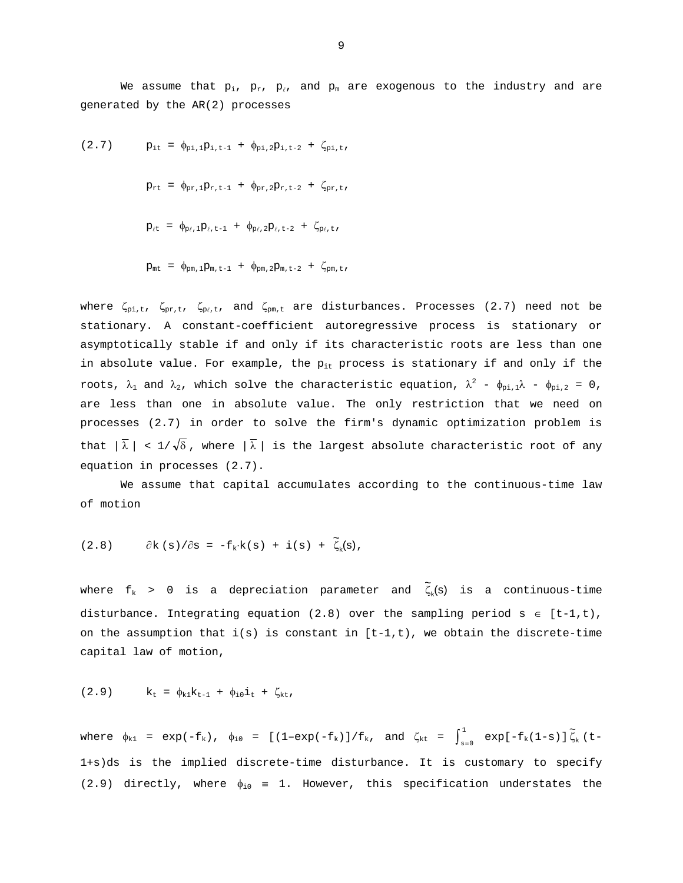We assume that  $p_i$ ,  $p_r$ ,  $p_\ell$ , and  $p_m$  are exogenous to the industry and are generated by the AR(2) processes

(2.7) 
$$
p_{it} = \phi_{pi,1}p_{i,t-1} + \phi_{pi,2}p_{i,t-2} + \zeta_{pi,t},
$$

$$
p_{rt} = \phi_{pr,1}p_{r,t-1} + \phi_{pr,2}p_{r,t-2} + \zeta_{pr,t},
$$

$$
p_{\ell t} = \phi_{p\ell,1}p_{\ell,t-1} + \phi_{p\ell,2}p_{\ell,t-2} + \zeta_{p\ell,t},
$$

$$
p_{mt} = \phi_{pm,1}p_{m,t-1} + \phi_{pm,2}p_{m,t-2} + \zeta_{pm,t},
$$

where  $\zeta_{pi,t}$ ,  $\zeta_{pr,t}$ ,  $\zeta_{pi,t}$ , and  $\zeta_{pm,t}$  are disturbances. Processes (2.7) need not be stationary. A constant-coefficient autoregressive process is stationary or asymptotically stable if and only if its characteristic roots are less than one in absolute value. For example, the  $p_{it}$  process is stationary if and only if the roots,  $\lambda_1$  and  $\lambda_2$ , which solve the characteristic equation,  $\lambda^2$  -  $\phi_{\rm pi,1} \lambda$  -  $\phi_{\rm pi,2}$  = 0, are less than one in absolute value. The only restriction that we need on processes (2.7) in order to solve the firm's dynamic optimization problem is that  $|\bar{\lambda}| < 1/\sqrt{\delta}$ , where  $|\bar{\lambda}|$  is the largest absolute characteristic root of any equation in processes (2.7).

 We assume that capital accumulates according to the continuous-time law of motion

(2.8) 
$$
\partial k(s)/\partial s = -f_k k(s) + i(s) + \tilde{\zeta}_k(s)
$$
,

where  ${\rm f}_{\rm k}$  > 0 is a depreciation parameter and  $\widetilde{\zeta}_{\rm k}({\rm s})$  is a continuous-time disturbance. Integrating equation (2.8) over the sampling period  $s \in [t-1,t)$ , on the assumption that  $i(s)$  is constant in  $[t-1,t)$ , we obtain the discrete-time capital law of motion,

(2.9) 
$$
k_t = \phi_{k1} k_{t-1} + \phi_{i0} i_t + \zeta_{kt}
$$
,

where  $\phi_{k1}$  =  $\exp(-f_k)$ ,  $\phi_{i0}$  = [(1- $\exp(-f_k)$ ]/ $f_k$ , and  $\zeta_{kt}$  =  $\int_{s=0}^{1}$   $\exp[-f_k(1-s)]\, \widetilde{\zeta}_k$ (t-1+s)ds is the implied discrete-time disturbance. It is customary to specify (2.9) directly, where  $\phi_{i0} = 1$ . However, this specification understates the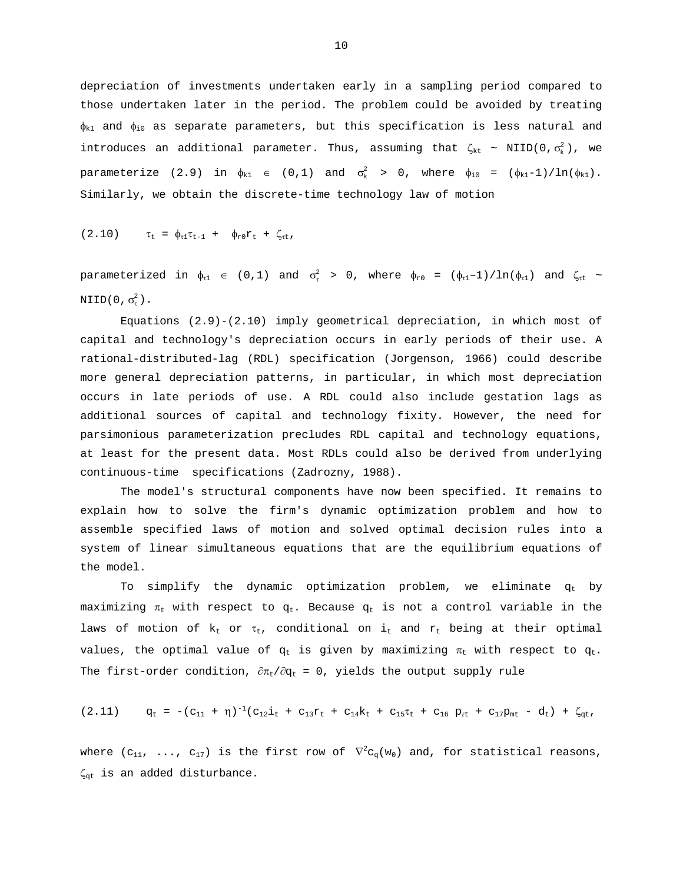depreciation of investments undertaken early in a sampling period compared to those undertaken later in the period. The problem could be avoided by treating  $\phi_{k1}$  and  $\phi_{i0}$  as separate parameters, but this specification is less natural and introduces an additional parameter. Thus, assuming that  $\zeta_{kt} \sim \text{NIID}(0, \sigma_k^2)$ , we parameterize (2.9) in  $\phi_{k1} \in (0,1)$  and  $\sigma_k^2 > 0$ , where  $\phi_{i0} = (\phi_{k1}-1)/\ln(\phi_{k1})$ . Similarly, we obtain the discrete-time technology law of motion

(2.10)  $\tau_t = \phi_{\tau 1} \tau_{t-1} + \phi_{\tau 0} \Upsilon_t + \zeta_{\tau t}$ ,

parameterized in  $\phi_{\tau1} \in (0,1)$  and  $\sigma_{\tau}^2 > 0$ , where  $\phi_{r0} = (\phi_{\tau1}-1)/\ln(\phi_{\tau1})$  and  $\zeta_{\tau\tau} \sim$ NIID( $0, \sigma_\tau^2$ ).

Equations  $(2.9)-(2.10)$  imply geometrical depreciation, in which most of capital and technology's depreciation occurs in early periods of their use. A rational-distributed-lag (RDL) specification (Jorgenson, 1966) could describe more general depreciation patterns, in particular, in which most depreciation occurs in late periods of use. A RDL could also include gestation lags as additional sources of capital and technology fixity. However, the need for parsimonious parameterization precludes RDL capital and technology equations, at least for the present data. Most RDLs could also be derived from underlying continuous-time specifications (Zadrozny, 1988).

The model's structural components have now been specified. It remains to explain how to solve the firm's dynamic optimization problem and how to assemble specified laws of motion and solved optimal decision rules into a system of linear simultaneous equations that are the equilibrium equations of the model.

To simplify the dynamic optimization problem, we eliminate  $q_t$  by maximizing  $\pi_t$  with respect to  $q_t$ . Because  $q_t$  is not a control variable in the laws of motion of  $k_t$  or  $\tau_t$ , conditional on i<sub>t</sub> and  $r_t$  being at their optimal values, the optimal value of  $q_t$  is given by maximizing  $\pi_t$  with respect to  $q_t$ . The first-order condition,  $\partial \pi_t / \partial q_t = 0$ , yields the output supply rule

$$
(2.11) \t q_t = -(c_{11} + \eta)^{-1} (c_{12}i_t + c_{13}r_t + c_{14}k_t + c_{15}r_t + c_{16}p_{\ell t} + c_{17}p_{\text{mt}} - d_t) + \zeta_{qt},
$$

where (c $_{11}$ , ..., c $_{17}$ ) is the first row of  $\nabla^2 {\rm c}_{{\rm q}}({\rm w}_0)$  and, for statistical reasons,  $\zeta_{qt}$  is an added disturbance.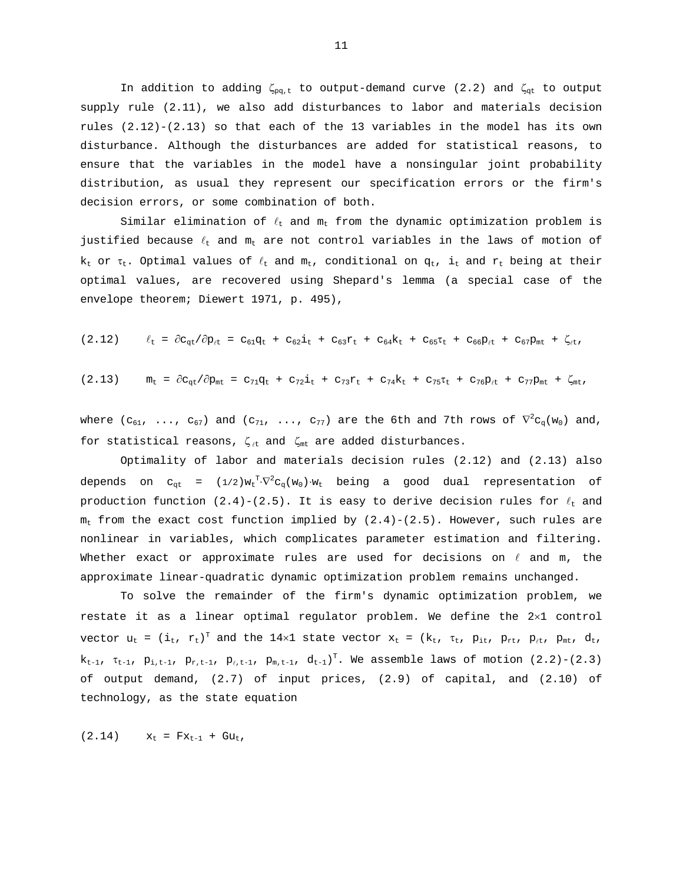In addition to adding  $\zeta_{pq,t}$  to output-demand curve (2.2) and  $\zeta_{qt}$  to output supply rule (2.11), we also add disturbances to labor and materials decision rules (2.12)-(2.13) so that each of the 13 variables in the model has its own disturbance. Although the disturbances are added for statistical reasons, to ensure that the variables in the model have a nonsingular joint probability distribution, as usual they represent our specification errors or the firm's decision errors, or some combination of both.

Similar elimination of  $\ell_t$  and  $m_t$  from the dynamic optimization problem is justified because  $\ell_{\rm t}$  and  ${\mathfrak m}_{\rm t}$  are not control variables in the laws of motion of  $k_t$  or  $\tau_t$ . Optimal values of  $\ell_t$  and  $m_t$ , conditional on  $q_t$ , i<sub>t</sub> and  $r_t$  being at their optimal values, are recovered using Shepard's lemma (a special case of the envelope theorem; Diewert 1971, p. 495),

$$
(2.12) \t\t l_{t} = \partial c_{qt}/\partial p_{\ell t} = c_{61}q_{t} + c_{62}i_{t} + c_{63}r_{t} + c_{64}k_{t} + c_{65}r_{t} + c_{66}p_{\ell t} + c_{67}p_{mt} + \zeta_{\ell t},
$$

$$
(2.13) \t m_t = \partial c_{qt} / \partial p_{mt} = c_{71} q_t + c_{72} i_t + c_{73} r_t + c_{74} k_t + c_{75} r_t + c_{76} p_{\ell t} + c_{77} p_{mt} + \zeta_{mt},
$$

where (c $_{61}$ , ..., c $_{67})$  and (c $_{71}$ , ..., c $_{77})$  are the 6th and 7th rows of  $\nabla^2\rm c_q(w_0)$  and, for statistical reasons,  $\zeta_{\ell t}$  and  $\zeta_{mt}$  are added disturbances.

 Optimality of labor and materials decision rules (2.12) and (2.13) also depends on  $c_{qt}$  =  $(1/2)w_t^{T}\nabla^2c_q(w_0)\cdot w_t$  being a good dual representation of production function (2.4)-(2.5). It is easy to derive decision rules for  $\ell_t$  and  $m_t$  from the exact cost function implied by  $(2.4)-(2.5)$ . However, such rules are nonlinear in variables, which complicates parameter estimation and filtering. Whether exact or approximate rules are used for decisions on  $\ell$  and m, the approximate linear-quadratic dynamic optimization problem remains unchanged.

 To solve the remainder of the firm's dynamic optimization problem, we restate it as a linear optimal regulator problem. We define the 2×1 control vector  $u_t = (i_t, r_t)^T$  and the 14×1 state vector  $x_t = (k_t, r_t, p_{it}, p_{rt}, p_{ft}, p_{mt}, d_t,$  $k_{t-1}$ ,  $\tau_{t-1}$ ,  $p_{i,t-1}$ ,  $p_{r,t-1}$ ,  $p_{\ell,t-1}$ ,  $p_{m,t-1}$ ,  $d_{t-1}$ )<sup>T</sup>. We assemble laws of motion (2.2)-(2.3) of output demand, (2.7) of input prices, (2.9) of capital, and (2.10) of technology, as the state equation

$$
(2.14) \t x_t = F x_{t-1} + G u_t,
$$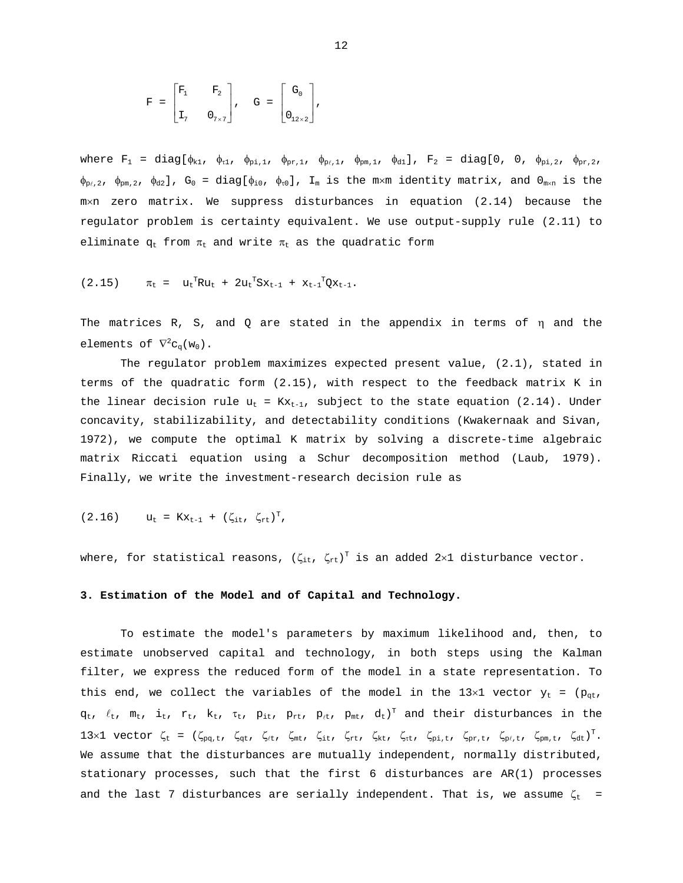$$
\mathbf{F} = \begin{bmatrix} \mathbf{F}_1 & \mathbf{F}_2 \\ \mathbf{I}_7 & \mathbf{0}_{7 \times 7} \end{bmatrix}, \quad \mathbf{G} = \begin{bmatrix} \mathbf{G}_0 \\ \mathbf{0}_{12 \times 2} \end{bmatrix},
$$

where  $F_1 = diag[\phi_{k1}, \phi_{r1}, \phi_{p1,1}, \phi_{pr,1}, \phi_{pr,1}, \phi_{pm,1}, \phi_{d1}], F_2 = diag[0, 0, \phi_{pi,2}, \phi_{pr,2},$  $\phi_{p\ell,2}$ ,  $\phi_{pm,2}$ ,  $\phi_{a2}$ ], G<sub>0</sub> = diag[ $\phi_{i0}$ ,  $\phi_{v0}$ ], I<sub>m</sub> is the m×m identity matrix, and O<sub>m×n</sub> is the m×n zero matrix. We suppress disturbances in equation (2.14) because the regulator problem is certainty equivalent. We use output-supply rule (2.11) to eliminate  $q_t$  from  $\pi_t$  and write  $\pi_t$  as the quadratic form

$$
(2.15) \t\t \pi_{t} = u_{t}^{T} R u_{t} + 2 u_{t}^{T} S x_{t-1} + x_{t-1}^{T} Q x_{t-1}.
$$

The matrices R, S, and Q are stated in the appendix in terms of η and the elements of  $\nabla^2 \mathbf{c}_\mathtt{q}(\mathtt{w}_0)$ .

The regulator problem maximizes expected present value, (2.1), stated in terms of the quadratic form (2.15), with respect to the feedback matrix K in the linear decision rule  $u_t = Kx_{t-1}$ , subject to the state equation (2.14). Under concavity, stabilizability, and detectability conditions (Kwakernaak and Sivan, 1972), we compute the optimal K matrix by solving a discrete-time algebraic matrix Riccati equation using a Schur decomposition method (Laub, 1979). Finally, we write the investment-research decision rule as

$$
(2.16) \t u_{t} = Kx_{t-1} + (\zeta_{it}, \zeta_{rt})^{T},
$$

where, for statistical reasons,  $(\zeta_{\rm it},\;\zeta_{\rm rt})^{\rm T}$  is an added 2×1 disturbance vector.

#### **3. Estimation of the Model and of Capital and Technology.**

To estimate the model's parameters by maximum likelihood and, then, to estimate unobserved capital and technology, in both steps using the Kalman filter, we express the reduced form of the model in a state representation. To this end, we collect the variables of the model in the 13x1 vector  $y_t = (p_{gt}, p_{gt})$  $q_t$ ,  $\ell_t$ ,  $m_t$ ,  $i_t$ ,  $r_t$ ,  $k_t$ ,  $\tau_t$ ,  $p_{it}$ ,  $p_{rt}$ ,  $p_{\ell t}$ ,  $p_{mt}$ ,  $d_t$ )<sup>T</sup> and their disturbances in the  $13\times1$  vector  $\zeta_t$  =  $(\zeta_{pq,t}, \zeta_{qt}, \zeta_{lt}, \zeta_{mt}, \zeta_{it}, \zeta_{rt}, \zeta_{kt}, \zeta_{rt}, \zeta_{pi,t}, \zeta_{pr,t}, \zeta_{pq,t}, \zeta_{dt})^T$ . We assume that the disturbances are mutually independent, normally distributed, stationary processes, such that the first 6 disturbances are AR(1) processes and the last 7 disturbances are serially independent. That is, we assume  $\zeta_t$  =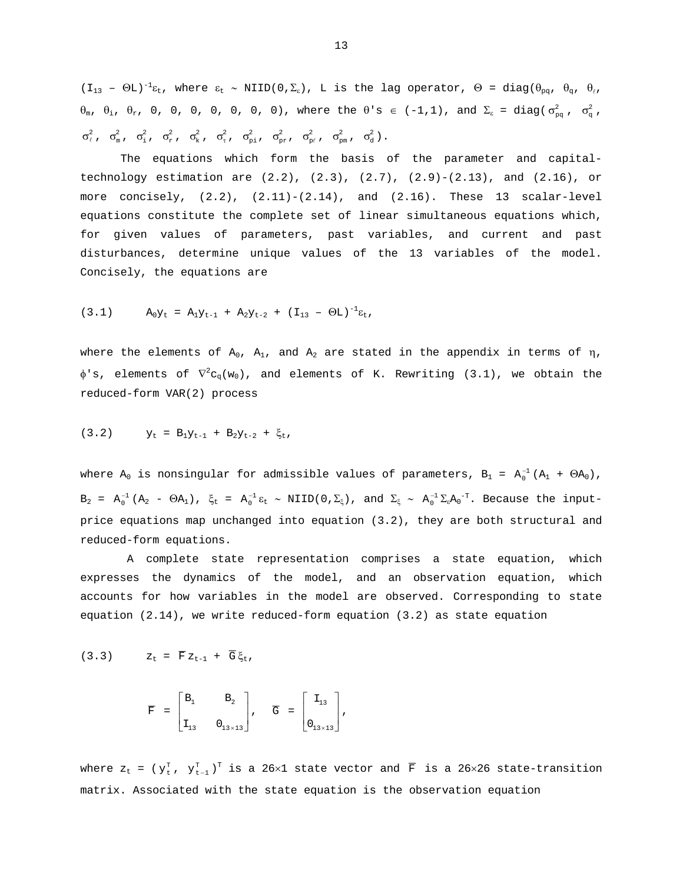$(I_{13} - \Theta L)^{-1} \varepsilon_t$ , where  $\varepsilon_t \sim \text{NIID}(0, \Sigma_{\varepsilon})$ , L is the lag operator,  $\Theta = \text{diag}(\theta_{pq}, \theta_q, \theta_\ell, \Theta_{\varepsilon})$ θ<sub>m</sub>, θ<sub>i</sub>, θ<sub>r</sub>, 0, 0, 0, 0, 0, 0, 0), where the θ's  $\in$  (-1,1), and  $\Sigma_{\epsilon}$  = diag( $\sigma_{pq}^2$ ,  $\sigma_q^2$ ,  $\sigma_{\ell}^2$ ,  $\sigma_{\rm m}^2$ ,  $\sigma_{\rm i}^2$ ,  $\sigma_{\rm k}^2$ ,  $\sigma_{\rm k}^2$ ,  $\sigma_{\rm e}^2$ ,  $\sigma_{\rm p i}^2$ ,  $\sigma_{\rm p r}^2$ ,  $\sigma_{\rm p \ell}^2$ ,  $\sigma_{\rm p m}^2$ ,  $\sigma_{\rm d}^2$ ).

 The equations which form the basis of the parameter and capitaltechnology estimation are (2.2), (2.3), (2.7), (2.9)-(2.13), and (2.16), or more concisely,  $(2.2)$ ,  $(2.11)-(2.14)$ , and  $(2.16)$ . These 13 scalar-level equations constitute the complete set of linear simultaneous equations which, for given values of parameters, past variables, and current and past disturbances, determine unique values of the 13 variables of the model. Concisely, the equations are

$$
(3.1) \t\t\t A_0Y_t = A_1Y_{t-1} + A_2Y_{t-2} + (I_{13} - \Theta L)^{-1}\varepsilon_t,
$$

where the elements of  $A_0$ ,  $A_1$ , and  $A_2$  are stated in the appendix in terms of  $\eta$ ,  $\phi$ 's, elements of  $\nabla^2 \mathtt{c}_\mathtt{q}(\mathtt{w}_0)$ , and elements of K. Rewriting (3.1), we obtain the reduced-form VAR(2) process

$$
(3.2) \t Yt = B1Yt-1 + B2Yt-2 + \xit,
$$

where  $\texttt{A}_0$  is nonsingular for admissible values of parameters,  $\texttt{B}_1$  =  $\texttt{A}_0^{-1}$  ( $\texttt{A}_1$  +  $\Theta \texttt{A}_0$ ),  $B_2$  =  $A_0^{-1}$  ( $A_2$  -  $\Theta A_1$ ),  $\xi_t$  =  $A_0^{-1} \epsilon_t$  ~ NIID(0, $\Sigma_\xi$ ), and  $\Sigma_\xi$  ~  $A_0^{-1} \Sigma_\epsilon A_0^{-T}$ . Because the inputprice equations map unchanged into equation (3.2), they are both structural and reduced-form equations.

 A complete state representation comprises a state equation, which expresses the dynamics of the model, and an observation equation, which accounts for how variables in the model are observed. Corresponding to state equation (2.14), we write reduced-form equation (3.2) as state equation

(3.3)  $Z_t = \overline{F} Z_{t-1} + \overline{G} \xi_t$ ,

$$
\overline{F} = \begin{bmatrix} B_1 & B_2 \\ I_{13} & 0_{13 \times 13} \end{bmatrix}, \quad \overline{G} = \begin{bmatrix} I_{13} \\ 0_{13 \times 13} \end{bmatrix},
$$

where  $z_t$  = ( $y_t^T$ ,  $y_{t-1}^T$ )<sup>T</sup> is a 26×1 state vector and  $\overline{F}$  is a 26×26 state-transition matrix. Associated with the state equation is the observation equation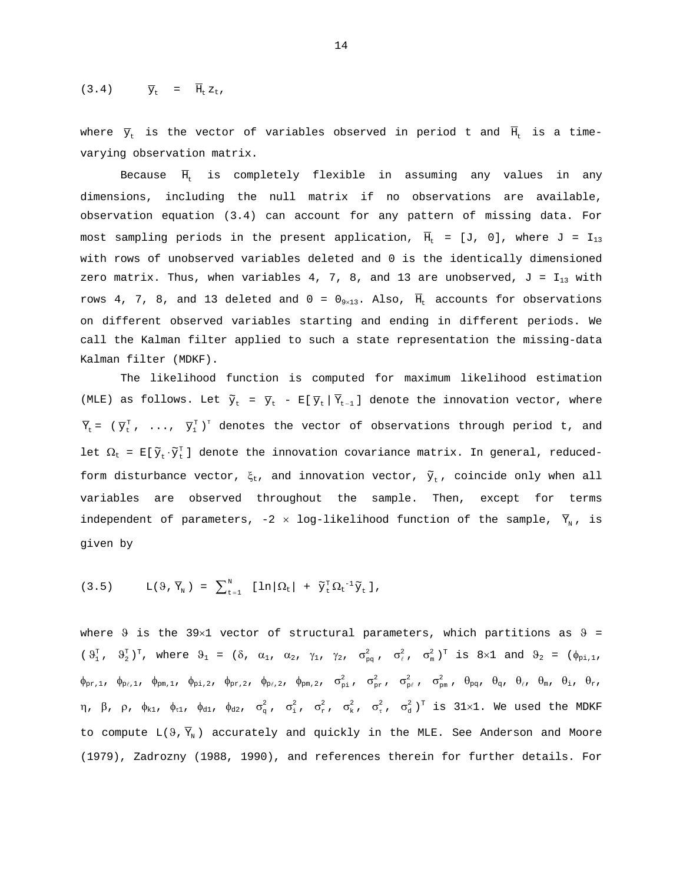$$
(3.4) \qquad \overline{Y}_{t} = \overline{H}_{t} Z_{t},
$$

where  $\overline{y}_t$  is the vector of variables observed in period t and  $\overline{H}_t$  is a timevarying observation matrix.

Because  $\overline{H}_t$  is completely flexible in assuming any values in any dimensions, including the null matrix if no observations are available, observation equation (3.4) can account for any pattern of missing data. For most sampling periods in the present application,  $\overline{H}_{t}$  = [J, 0], where J =  $I_{13}$ with rows of unobserved variables deleted and 0 is the identically dimensioned zero matrix. Thus, when variables 4, 7, 8, and 13 are unobserved,  $J = I_{13}$  with rows 4, 7, 8, and 13 deleted and  $0 = 0_{9\times13}$ . Also,  $\overline{H}_t$  accounts for observations on different observed variables starting and ending in different periods. We call the Kalman filter applied to such a state representation the missing-data Kalman filter (MDKF).

The likelihood function is computed for maximum likelihood estimation (MLE) as follows. Let  $\tilde{y}_t = \overline{y}_t - E[\overline{y}_t | \overline{Y}_{t-1}]$  denote the innovation vector, where  $\overline{Y}_t$  = ( $\overline{Y}_t^T$ , ...,  $\overline{Y}_1^T$ )<sup>T</sup> denotes the vector of observations through period t, and let  $\Omega_{\rm t}$  = E[ $\widetilde{{\rm{y}}}_{\rm t} \cdot \widetilde{{\rm{y}}}_{\rm t}^{\rm \scriptscriptstyle T}$ ] denote the innovation covariance matrix. In general, reducedform disturbance vector,  $\xi_{\rm t}$ , and innovation vector,  $\tilde{\mathrm{y}}_{\rm t}$ , coincide only when all variables are observed throughout the sample. Then, except for terms independent of parameters, -2 × log-likelihood function of the sample,  $\overline{Y}_N$ , is given by

(3.5) 
$$
L(\vartheta, \overline{Y}_N) = \sum_{t=1}^N [ln|\Omega_t| + \tilde{Y}_t^T \Omega_t^{-1} \tilde{Y}_t],
$$

where  $9$  is the 39×1 vector of structural parameters, which partitions as  $9 =$  $(\vartheta_1^T, \vartheta_2^T)^T$ , where  $\vartheta_1 = (\delta, \alpha_1, \alpha_2, \gamma_1, \gamma_2, \sigma_{pq}^2, \sigma_{q}^2, \sigma_{m}^2)^T$  is  $8 \times 1$  and  $\vartheta_2 = (\varphi_{pi,1}, \varphi_{pi,2}^T)^T$  $\phi_{\text{pr},1}$ ,  $\phi_{\text{p}\ell,1}$ ,  $\phi_{\text{pm},1}$ ,  $\phi_{\text{pi},2}$ ,  $\phi_{\text{pr},2}$ ,  $\phi_{\text{p}\ell,2}$ ,  $\phi_{\text{pm},2}$ ,  $\sigma_{\text{p}\ell}^2$ ,  $\sigma_{\text{p}\ell}^2$ ,  $\sigma_{\text{p}\ell}^2$ ,  $\sigma_{\text{p}\ell}^2$ ,  $\theta_{\text{p}\ell}$ ,  $\theta_{\text{q}}$ ,  $\theta_{\text{q}}$ ,  $\theta_{\text{m}}$ ,  $\theta_{\$ η, β, ρ, φ<sub>k1</sub>, φ<sub>τ1</sub>, φ<sub>d1</sub>, φ<sub>d2</sub>, σ<sub>4</sub>, σ<sub>1</sub>, σ<sub>1</sub>, σ<sub>κ</sub>, σ<sub>τ</sub>, σ<sub>2</sub>, σ<sub>3</sub>)<sup>T</sup> is 31×1. We used the MDKF to compute  $L(\vartheta, \overline{Y}_N)$  accurately and quickly in the MLE. See Anderson and Moore (1979), Zadrozny (1988, 1990), and references therein for further details. For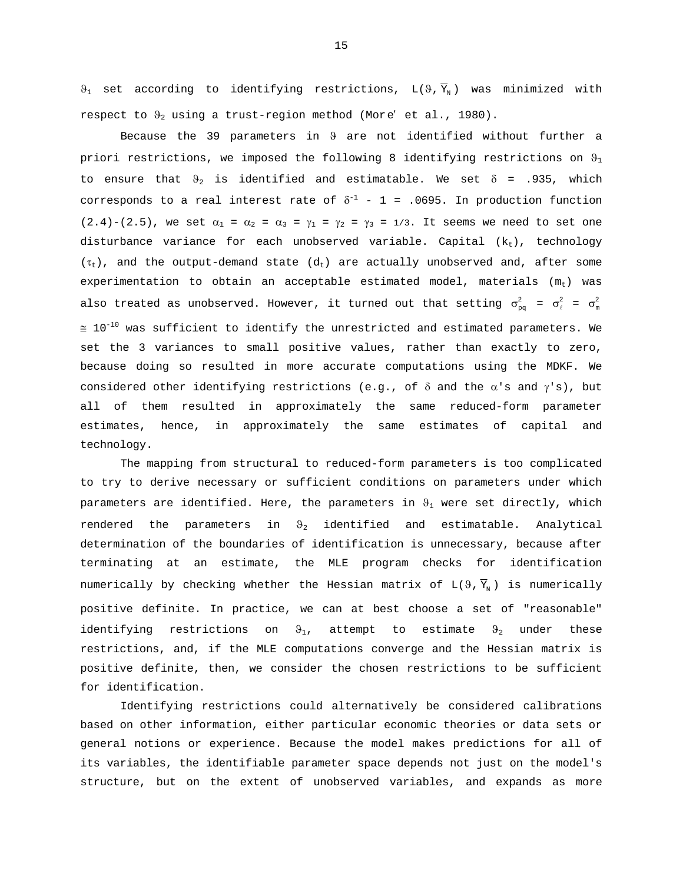$\vartheta_1$  set according to identifying restrictions, L( $\vartheta$ ,  $\overline{Y}_N$ ) was minimized with respect to  $\vartheta_2$  using a trust-region method (More' et al., 1980).

Because the 39 parameters in ϑ are not identified without further a priori restrictions, we imposed the following 8 identifying restrictions on  $9<sub>1</sub>$ to ensure that  $\vartheta_2$  is identified and estimatable. We set  $\delta$  = .935, which corresponds to a real interest rate of  $\delta^{-1}$  - 1 = .0695. In production function  $(2.4)-(2.5)$ , we set  $\alpha_1 = \alpha_2 = \alpha_3 = \gamma_1 = \gamma_2 = \gamma_3 = 1/3$ . It seems we need to set one disturbance variance for each unobserved variable. Capital  $(k_t)$ , technology  $(\tau_t)$ , and the output-demand state  $(d_t)$  are actually unobserved and, after some experimentation to obtain an acceptable estimated model, materials  $(m_t)$  was also treated as unobserved. However, it turned out that setting  $\sigma_{pq}^2 = \sigma_{\ell}^2 = \sigma_m^2$  $\widetilde{=} 10^{-10}$  was sufficient to identify the unrestricted and estimated parameters. We set the 3 variances to small positive values, rather than exactly to zero, because doing so resulted in more accurate computations using the MDKF. We considered other identifying restrictions (e.g., of  $\delta$  and the  $\alpha$ 's and  $\gamma$ 's), but all of them resulted in approximately the same reduced-form parameter estimates, hence, in approximately the same estimates of capital and technology.

The mapping from structural to reduced-form parameters is too complicated to try to derive necessary or sufficient conditions on parameters under which parameters are identified. Here, the parameters in  $\vartheta_1$  were set directly, which rendered the parameters in  $\Theta_2$  identified and estimatable. Analytical determination of the boundaries of identification is unnecessary, because after terminating at an estimate, the MLE program checks for identification numerically by checking whether the Hessian matrix of  $L(\vartheta, \overline{Y}_N)$  is numerically positive definite. In practice, we can at best choose a set of "reasonable" identifying restrictions on  $\vartheta_1$ , attempt to estimate  $\vartheta_2$  under these restrictions, and, if the MLE computations converge and the Hessian matrix is positive definite, then, we consider the chosen restrictions to be sufficient for identification.

Identifying restrictions could alternatively be considered calibrations based on other information, either particular economic theories or data sets or general notions or experience. Because the model makes predictions for all of its variables, the identifiable parameter space depends not just on the model's structure, but on the extent of unobserved variables, and expands as more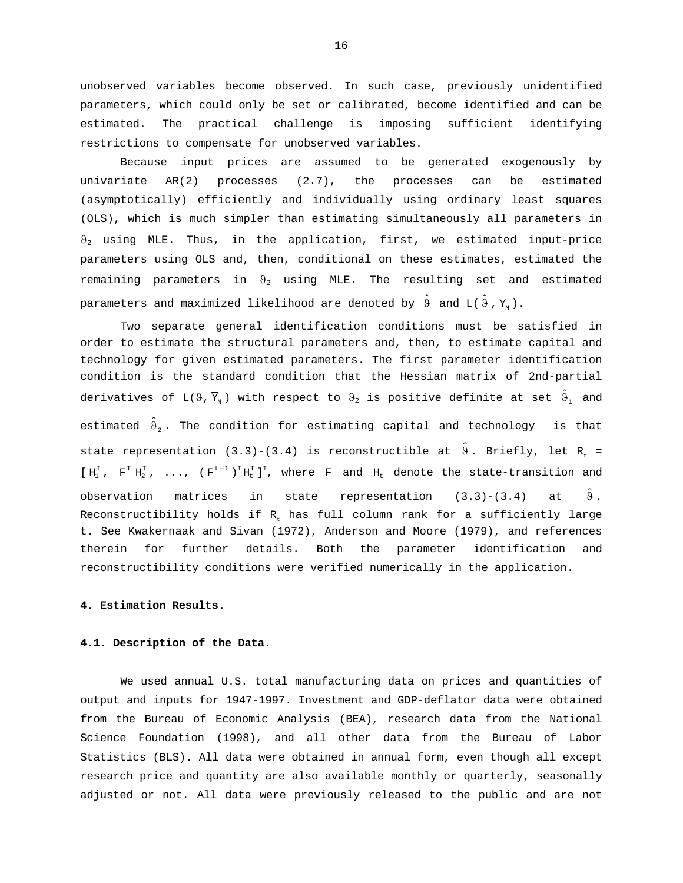unobserved variables become observed. In such case, previously unidentified parameters, which could only be set or calibrated, become identified and can be estimated. The practical challenge is imposing sufficient identifying restrictions to compensate for unobserved variables.

Because input prices are assumed to be generated exogenously by univariate AR(2) processes (2.7), the processes can be estimated (asymptotically) efficiently and individually using ordinary least squares (OLS), which is much simpler than estimating simultaneously all parameters in  $\vartheta_2$  using MLE. Thus, in the application, first, we estimated input-price parameters using OLS and, then, conditional on these estimates, estimated the remaining parameters in  $\Theta_2$  using MLE. The resulting set and estimated parameters and maximized likelihood are denoted by  $\hat{9}$  and L( $\hat{9}$ , $\overline{Y}_{\textrm{\tiny N}}$ ).

Two separate general identification conditions must be satisfied in order to estimate the structural parameters and, then, to estimate capital and technology for given estimated parameters. The first parameter identification condition is the standard condition that the Hessian matrix of 2nd-partial derivatives of L( $9$ , $\overline{\text{Y}}_\text{\tiny N}$ ) with respect to  $9_2$  is positive definite at set  $\hat{9}_1$  and estimated  $\hat{\vartheta}_2$ . The condition for estimating capital and technology  $\;$  is that state representation (3.3)-(3.4) is reconstructible at  $\hat{9}$ . Briefly, let R<sub>t</sub> =  $[\ \overline{H}_1^T$ ,  $\overline{F}^T \ \overline{H}_2^T$ , ...,  $(\ \overline{F}^{t-1} \ )^T \overline{H}_t^T \ ]^T$ , where  $\overline{F}$  and  $\overline{H}_t$  denote the state-transition and observation matrices in state representation  $(3.3)-(3.4)$  at  $\hat{9}$  . Reconstructibility holds if  $R<sub>r</sub>$  has full column rank for a sufficiently large t. See Kwakernaak and Sivan (1972), Anderson and Moore (1979), and references therein for further details. Both the parameter identification and reconstructibility conditions were verified numerically in the application.

## **4. Estimation Results.**

#### **4.1. Description of the Data.**

We used annual U.S. total manufacturing data on prices and quantities of output and inputs for 1947-1997. Investment and GDP-deflator data were obtained from the Bureau of Economic Analysis (BEA), research data from the National Science Foundation (1998), and all other data from the Bureau of Labor Statistics (BLS). All data were obtained in annual form, even though all except research price and quantity are also available monthly or quarterly, seasonally adjusted or not. All data were previously released to the public and are not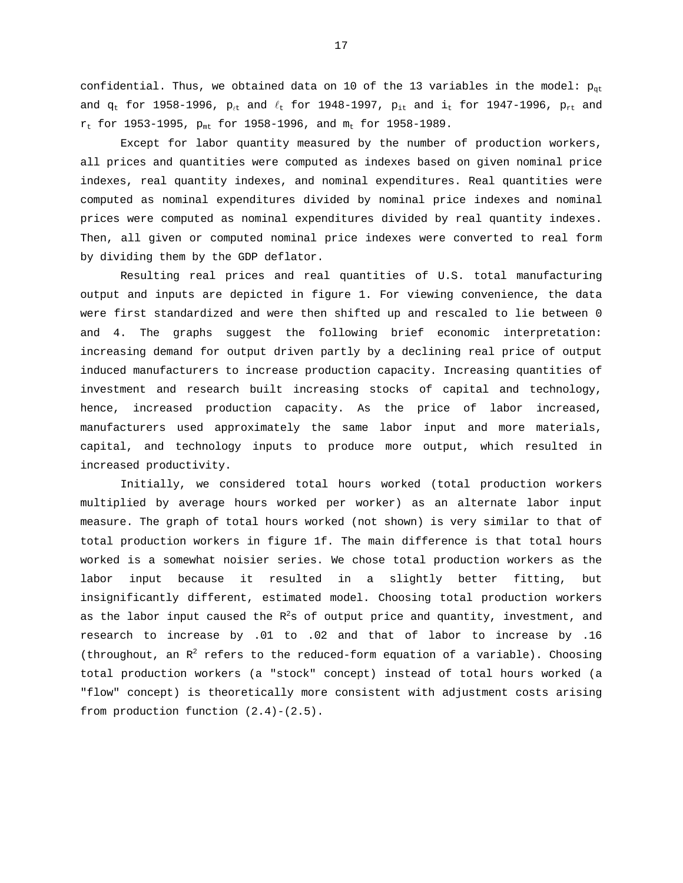confidential. Thus, we obtained data on 10 of the 13 variables in the model:  $p_{qt}$ and  $q_t$  for 1958-1996,  $p_{ft}$  and  $\ell_t$  for 1948-1997,  $p_{it}$  and  $i_t$  for 1947-1996,  $p_{rt}$  and  $r_t$  for 1953-1995,  $p_{mt}$  for 1958-1996, and  $m_t$  for 1958-1989.

Except for labor quantity measured by the number of production workers, all prices and quantities were computed as indexes based on given nominal price indexes, real quantity indexes, and nominal expenditures. Real quantities were computed as nominal expenditures divided by nominal price indexes and nominal prices were computed as nominal expenditures divided by real quantity indexes. Then, all given or computed nominal price indexes were converted to real form by dividing them by the GDP deflator.

 Resulting real prices and real quantities of U.S. total manufacturing output and inputs are depicted in figure 1. For viewing convenience, the data were first standardized and were then shifted up and rescaled to lie between 0 and 4. The graphs suggest the following brief economic interpretation: increasing demand for output driven partly by a declining real price of output induced manufacturers to increase production capacity. Increasing quantities of investment and research built increasing stocks of capital and technology, hence, increased production capacity. As the price of labor increased, manufacturers used approximately the same labor input and more materials, capital, and technology inputs to produce more output, which resulted in increased productivity.

Initially, we considered total hours worked (total production workers multiplied by average hours worked per worker) as an alternate labor input measure. The graph of total hours worked (not shown) is very similar to that of total production workers in figure 1f. The main difference is that total hours worked is a somewhat noisier series. We chose total production workers as the labor input because it resulted in a slightly better fitting, but insignificantly different, estimated model. Choosing total production workers as the labor input caused the  $R^2$ s of output price and quantity, investment, and research to increase by .01 to .02 and that of labor to increase by .16 (throughout, an  $R^2$  refers to the reduced-form equation of a variable). Choosing total production workers (a "stock" concept) instead of total hours worked (a "flow" concept) is theoretically more consistent with adjustment costs arising from production function (2.4)-(2.5).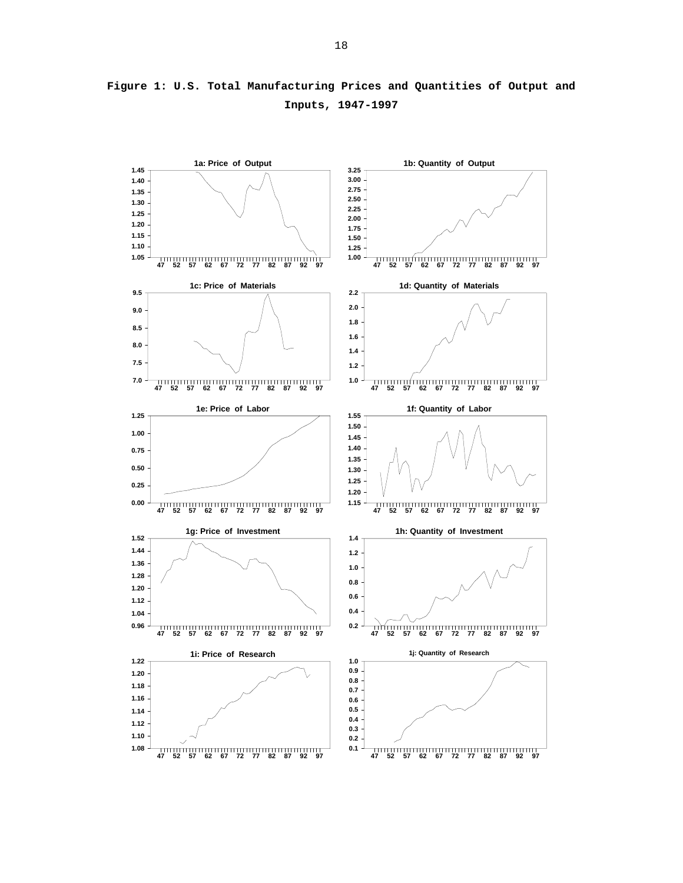

**Figure 1: U.S. Total Manufacturing Prices and Quantities of Output and Inputs, 1947-1997**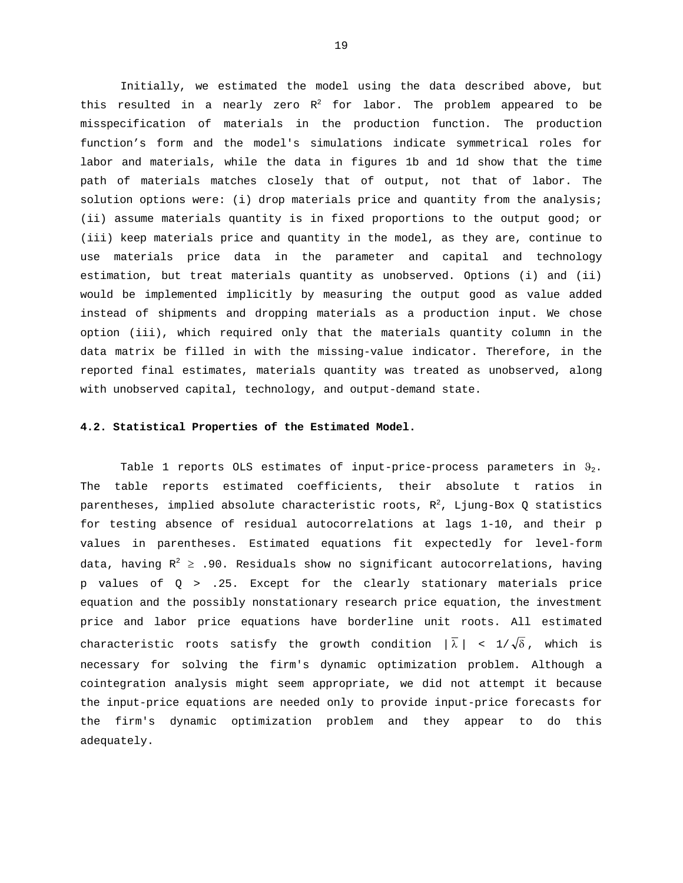Initially, we estimated the model using the data described above, but this resulted in a nearly zero  $R^2$  for labor. The problem appeared to be misspecification of materials in the production function. The production function's form and the model's simulations indicate symmetrical roles for labor and materials, while the data in figures 1b and 1d show that the time path of materials matches closely that of output, not that of labor. The solution options were: (i) drop materials price and quantity from the analysis; (ii) assume materials quantity is in fixed proportions to the output good; or (iii) keep materials price and quantity in the model, as they are, continue to use materials price data in the parameter and capital and technology estimation, but treat materials quantity as unobserved. Options (i) and (ii) would be implemented implicitly by measuring the output good as value added instead of shipments and dropping materials as a production input. We chose option (iii), which required only that the materials quantity column in the data matrix be filled in with the missing-value indicator. Therefore, in the reported final estimates, materials quantity was treated as unobserved, along with unobserved capital, technology, and output-demand state.

#### **4.2. Statistical Properties of the Estimated Model.**

Table 1 reports OLS estimates of input-price-process parameters in  $\vartheta_2$ . The table reports estimated coefficients, their absolute t ratios in parentheses, implied absolute characteristic roots,  $\mathtt{R}^2$ , Ljung-Box Q statistics for testing absence of residual autocorrelations at lags 1-10, and their p values in parentheses. Estimated equations fit expectedly for level-form data, having  $R^2 \geq .90$ . Residuals show no significant autocorrelations, having p values of Q > .25. Except for the clearly stationary materials price equation and the possibly nonstationary research price equation, the investment price and labor price equations have borderline unit roots. All estimated characteristic roots satisfy the growth condition  $|\bar{\lambda}| \leq 1/\sqrt{\delta}$ , which is necessary for solving the firm's dynamic optimization problem. Although a cointegration analysis might seem appropriate, we did not attempt it because the input-price equations are needed only to provide input-price forecasts for the firm's dynamic optimization problem and they appear to do this adequately.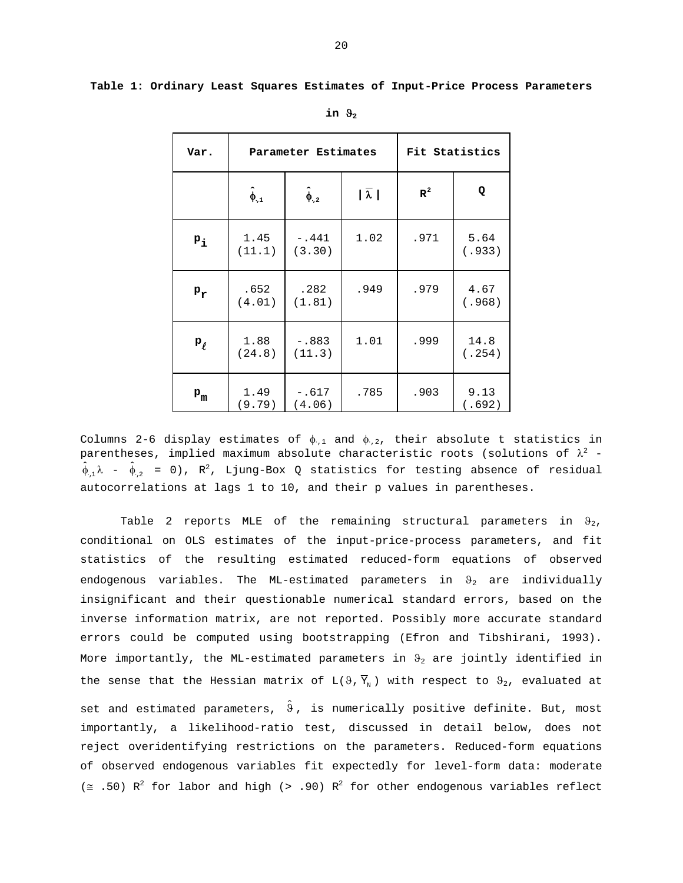**Table 1: Ordinary Least Squares Estimates of Input-Price Process Parameters** 

|--|--|

| Var.       |                        | Parameter Estimates    | Fit Statistics    |       |                |
|------------|------------------------|------------------------|-------------------|-------|----------------|
|            | $\hat{\phi}_{\cdot,1}$ | $\hat{\phi}_{\cdot,2}$ | $ \bar{\lambda} $ | $R^2$ | Q              |
| $P_{i}$    | 1.45<br>(11.1)         | $-.441$<br>(3.30)      | 1.02              | .971  | 5.64<br>(.933) |
| $P_T$      | .652<br>(4.01)         | .282<br>(1.81)         | .949              | .979  | 4.67<br>(.968) |
| $P_{\ell}$ | 1.88<br>(24.8)         | $-.883$<br>(11.3)      | 1.01              | .999  | 14.8<br>(.254) |
| $P_{m}$    | 1.49<br>(9.79)         | $-.617$<br>(4.06)      | .785              | .903  | 9.13<br>(.692) |

Columns 2-6 display estimates of  $\phi_{n,1}$  and  $\phi_{n,2}$ , their absolute t statistics in parentheses, implied maximum absolute characteristic roots (solutions of  $\lambda^2$  - $\hat{\phi}_{1,1}\lambda$  -  $\hat{\phi}_{1,2}$  = 0),  $R^2$ , Ljung-Box Q statistics for testing absence of residual autocorrelations at lags 1 to 10, and their p values in parentheses.

Table 2 reports MLE of the remaining structural parameters in  $\vartheta_2$ , conditional on OLS estimates of the input-price-process parameters, and fit statistics of the resulting estimated reduced-form equations of observed endogenous variables. The ML-estimated parameters in  $\vartheta_2$  are individually insignificant and their questionable numerical standard errors, based on the inverse information matrix, are not reported. Possibly more accurate standard errors could be computed using bootstrapping (Efron and Tibshirani, 1993). More importantly, the ML-estimated parameters in  $\Theta_2$  are jointly identified in the sense that the Hessian matrix of  $L(\vartheta, \overline{Y}_N)$  with respect to  $\vartheta_2$ , evaluated at set and estimated parameters,  $\hat{9}$ , is numerically positive definite. But, most importantly, a likelihood-ratio test, discussed in detail below, does not reject overidentifying restrictions on the parameters. Reduced-form equations of observed endogenous variables fit expectedly for level-form data: moderate  $(\cong .50)$  R<sup>2</sup> for labor and high (> .90) R<sup>2</sup> for other endogenous variables reflect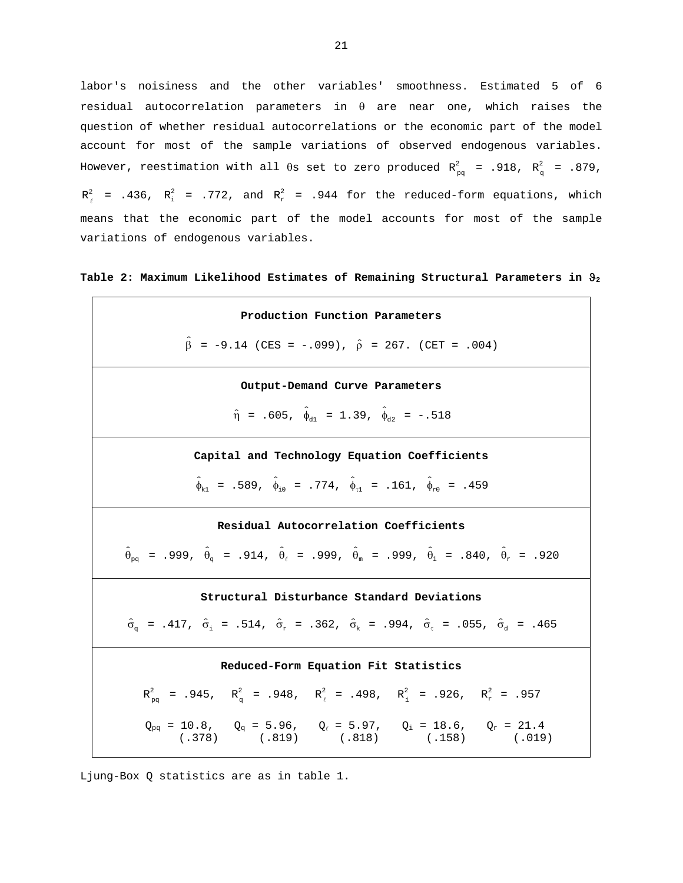labor's noisiness and the other variables' smoothness. Estimated 5 of 6 residual autocorrelation parameters in  $\theta$  are near one, which raises the question of whether residual autocorrelations or the economic part of the model account for most of the sample variations of observed endogenous variables. However, reestimation with all  $\theta$ s set to zero produced  $\mathrm{\,R_{pq}^2}$  = .918,  $\mathrm{\,R_{q}^2}$  = .879,  $R_{\ell}^2$  = .436,  $R_i^2$  = .772, and  $R_r^2$  = .944 for the reduced-form equations, which means that the economic part of the model accounts for most of the sample variations of endogenous variables.

**Table 2: Maximum Likelihood Estimates of Remaining Structural Parameters in** ϑ**<sup>2</sup>**

| Production Function Parameters                                                                                                                                                                           |  |  |  |  |
|----------------------------------------------------------------------------------------------------------------------------------------------------------------------------------------------------------|--|--|--|--|
| $\hat{\beta}$ = -9.14 (CES = -.099), $\hat{\rho}$ = 267. (CET = .004)                                                                                                                                    |  |  |  |  |
| Output-Demand Curve Parameters                                                                                                                                                                           |  |  |  |  |
| $\hat{\eta}$ = .605, $\hat{\phi}_{d1}$ = 1.39, $\hat{\phi}_{d2}$ = -.518                                                                                                                                 |  |  |  |  |
| Capital and Technology Equation Coefficients                                                                                                                                                             |  |  |  |  |
| $\hat{\phi}_{k_1}$ = .589, $\hat{\phi}_{i_0}$ = .774, $\hat{\phi}_{r_1}$ = .161, $\hat{\phi}_{r_0}$ = .459                                                                                               |  |  |  |  |
| Residual Autocorrelation Coefficients                                                                                                                                                                    |  |  |  |  |
| $\hat{\theta}_{\text{net}}$ = .999, $\hat{\theta}_{\text{a}}$ = .914, $\hat{\theta}_{\ell}$ = .999, $\hat{\theta}_{\text{m}}$ = .999, $\hat{\theta}_{\text{i}}$ = .840, $\hat{\theta}_{\text{a}}$ = .920 |  |  |  |  |
| Structural Disturbance Standard Deviations                                                                                                                                                               |  |  |  |  |
| $\hat{\sigma}_{\alpha}$ = .417, $\hat{\sigma}_{\beta}$ = .514, $\hat{\sigma}_{r}$ = .362, $\hat{\sigma}_{k}$ = .994, $\hat{\sigma}_{r}$ = .055, $\hat{\sigma}_{d}$ = .465                                |  |  |  |  |
| Reduced-Form Equation Fit Statistics                                                                                                                                                                     |  |  |  |  |
| $R_{\text{tot}}^2$ = .945, $R_{\text{tot}}^2$ = .948, $R_{\text{tot}}^2$ = .498, $R_{\text{tot}}^2$ = .926, $R_{\text{tot}}^2$ = .957                                                                    |  |  |  |  |
| $Q_{pq} = 10.8$ , $Q_q = 5.96$ , $Q_\ell = 5.97$ , $Q_i = 18.6$ , $Q_r = 21.4$<br>(.378) (.819) (.818) (.158) (.019)                                                                                     |  |  |  |  |

Ljung-Box Q statistics are as in table 1.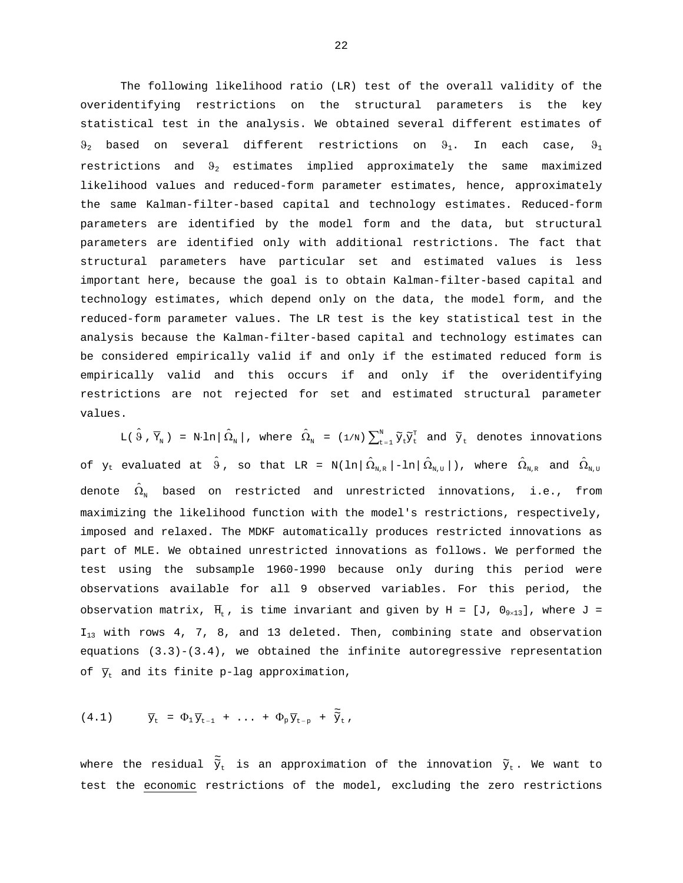The following likelihood ratio (LR) test of the overall validity of the overidentifying restrictions on the structural parameters is the key statistical test in the analysis. We obtained several different estimates of  $\vartheta_2$  based on several different restrictions on  $\vartheta_1$ . In each case,  $\vartheta_1$ restrictions and  $\vartheta_2$  estimates implied approximately the same maximized likelihood values and reduced-form parameter estimates, hence, approximately the same Kalman-filter-based capital and technology estimates. Reduced-form parameters are identified by the model form and the data, but structural parameters are identified only with additional restrictions. The fact that structural parameters have particular set and estimated values is less important here, because the goal is to obtain Kalman-filter-based capital and technology estimates, which depend only on the data, the model form, and the reduced-form parameter values. The LR test is the key statistical test in the analysis because the Kalman-filter-based capital and technology estimates can be considered empirically valid if and only if the estimated reduced form is empirically valid and this occurs if and only if the overidentifying restrictions are not rejected for set and estimated structural parameter values.

L(  $\hat{9}$  ,  $\overline{Y}_{_{\rm N}}$  ) = N·ln|  $\hat{\Omega}_{_{\rm N}}$  | , where  $\hat{\Omega}_{_{\rm N}}$  = (1/N)  $\sum_{\rm t=1}^{\rm N}$  $\sum_{t=1}^{N} \widetilde{Y}_t \widetilde{Y}_t^T$  and  $\widetilde{Y}_t$  denotes innovations of  $\gamma_t$  evaluated at  $\hat{\vartheta}$  , so that LR = N(ln $|\: \hat{\Omega}_{_{\rm N,R}} \: |$  -ln $|\: \hat{\Omega}_{_{\rm N,U}} \: |$  ), where  $\: \hat{\Omega}_{_{\rm N,R}} \:$  and  $\: \hat{\Omega}_{_{\rm N,U}} \:$ denote  $\Omega_{\text{N}}$  based on restricted and unrestricted innovations, i.e., from maximizing the likelihood function with the model's restrictions, respectively, imposed and relaxed. The MDKF automatically produces restricted innovations as part of MLE. We obtained unrestricted innovations as follows. We performed the test using the subsample 1960-1990 because only during this period were observations available for all 9 observed variables. For this period, the observation matrix,  $\overline{H}_{t}$ , is time invariant and given by H = [J,  $0_{9\times13}$ ], where J =  $I_{13}$  with rows 4, 7, 8, and 13 deleted. Then, combining state and observation equations  $(3.3)-(3.4)$ , we obtained the infinite autoregressive representation of  $\overline{y}_t$  and its finite p-lag approximation,

$$
(4.1) \qquad \overline{Y}_{t} = \Phi_{1} \overline{Y}_{t-1} + \ldots + \Phi_{p} \overline{Y}_{t-p} + \widetilde{\tilde{Y}}_{t},
$$

where the residual  $\widetilde{\widetilde{y}}_{\rm t}$  is an approximation of the innovation  ${\widetilde{y}}_{\rm t}$ . We want to test the economic restrictions of the model, excluding the zero restrictions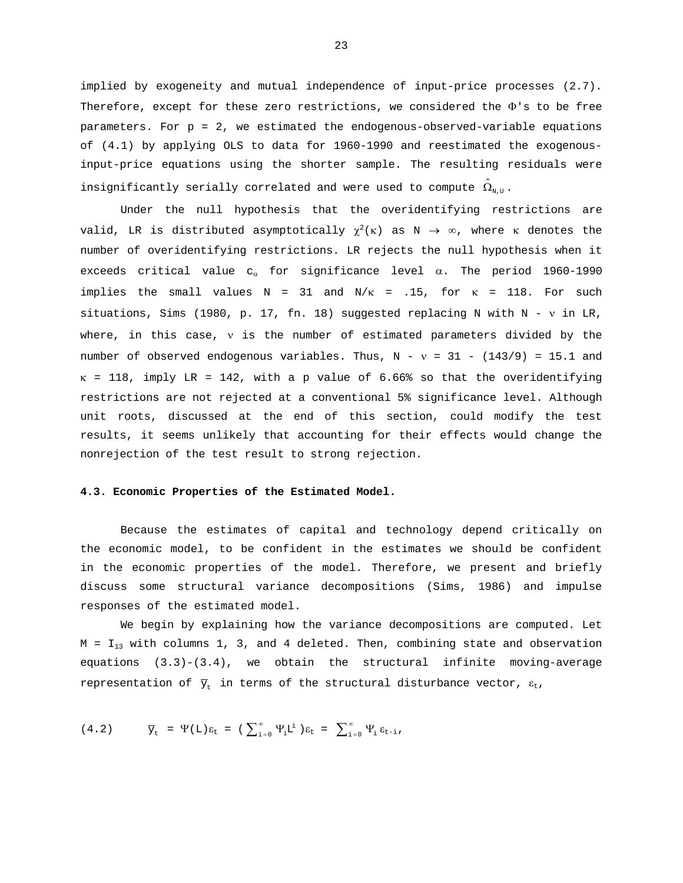implied by exogeneity and mutual independence of input-price processes (2.7). Therefore, except for these zero restrictions, we considered the Φ's to be free parameters. For p = 2, we estimated the endogenous-observed-variable equations of (4.1) by applying OLS to data for 1960-1990 and reestimated the exogenousinput-price equations using the shorter sample. The resulting residuals were insignificantly serially correlated and were used to compute  $\Omega_{N,U}$ .

Under the null hypothesis that the overidentifying restrictions are valid, LR is distributed asymptotically  $\chi^2(\kappa)$  as N  $\rightarrow$  ∞, where  $\kappa$  denotes the number of overidentifying restrictions. LR rejects the null hypothesis when it exceeds critical value  $c_{\alpha}$  for significance level  $\alpha$ . The period 1960-1990 implies the small values  $N = 31$  and  $N/\kappa = 0.15$ , for  $\kappa = 118$ . For such situations, Sims (1980, p. 17, fn. 18) suggested replacing N with N - ν in LR, where, in this case, ν is the number of estimated parameters divided by the number of observed endogenous variables. Thus,  $N - v = 31 - (143/9) = 15.1$  and  $\kappa$  = 118, imply LR = 142, with a p value of 6.66% so that the overidentifying restrictions are not rejected at a conventional 5% significance level. Although unit roots, discussed at the end of this section, could modify the test results, it seems unlikely that accounting for their effects would change the nonrejection of the test result to strong rejection.

## **4.3. Economic Properties of the Estimated Model.**

 Because the estimates of capital and technology depend critically on the economic model, to be confident in the estimates we should be confident in the economic properties of the model. Therefore, we present and briefly discuss some structural variance decompositions (Sims, 1986) and impulse responses of the estimated model.

We begin by explaining how the variance decompositions are computed. Let  $M = I_{13}$  with columns 1, 3, and 4 deleted. Then, combining state and observation equations (3.3)-(3.4), we obtain the structural infinite moving-average representation of  $\overline{y}_t$  in terms of the structural disturbance vector,  $\varepsilon_t$ ,

$$
(4.2) \t\t \overline{y}_{t} = \Psi(L)\varepsilon_{t} = (\sum_{i=0}^{\infty} \Psi_{i}L^{i})\varepsilon_{t} = \sum_{i=0}^{\infty} \Psi_{i}\varepsilon_{t-i},
$$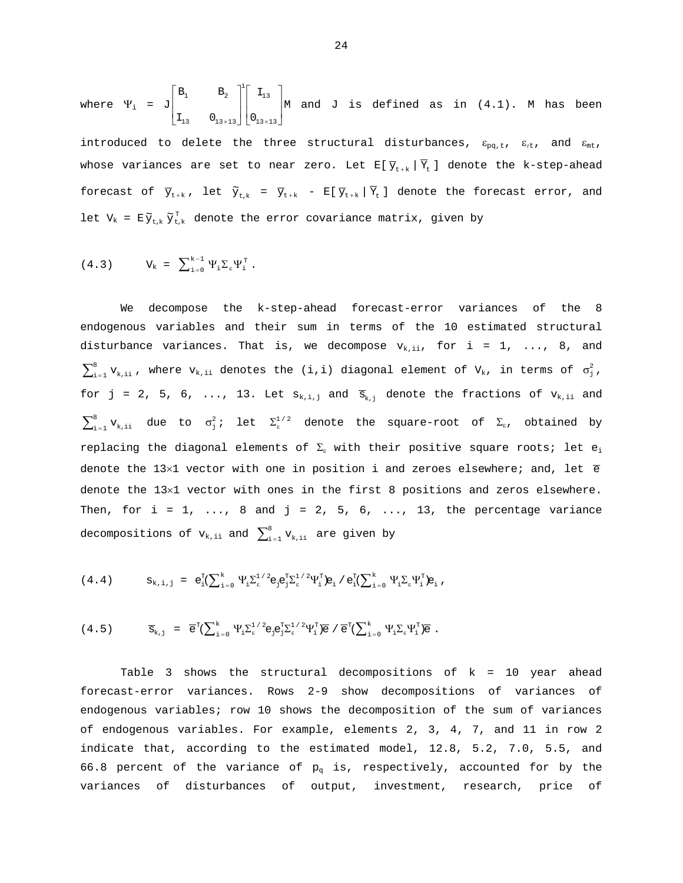where  $\Psi_i = J \begin{bmatrix} 1 & 0 & 0 \ 0 & 0 & 0 \end{bmatrix}$ ⎦ ⎤ ⎢  $\mathsf I$ ⎣  $\mathsf{L}$  $\overline{\phantom{a}}$ ⎥ ⎦ ⎤ ⎢  $\mathsf I$ ⎣  $\mathsf{L}$ ×13 J L<sup>U</sup>13×13 13 i  $13 \t 13 \times 13$  $\mathbf{p}_1$   $\mathbf{p}_2$ 0 I  $I_{13}$  0  $B_1$  B M and J is defined as in (4.1). M has been

introduced to delete the three structural disturbances,  $\varepsilon_{pq,t}$ ,  $\varepsilon_{\ell t}$ , and  $\varepsilon_{mt}$ , whose variances are set to near zero. Let  $E[\overline{Y}_{t+k} | \overline{Y}_t]$  denote the k-step-ahead forecast of  $\overline{Y}_{t+k}$ , let  $\tilde{Y}_{t,k}$  =  $\overline{Y}_{t+k}$  - E[ $\overline{Y}_{t+k}$  | $\overline{Y}_t$ ] denote the forecast error, and let  $V_k$  =  $E \tilde{Y}_{t,k} \tilde{Y}_{t,k}^T$  denote the error covariance matrix, given by

(4.3) 
$$
V_k = \sum_{i=0}^{k-1} \Psi_i \Sigma_i \Psi_i^T
$$
.

We decompose the k-step-ahead forecast-error variances of the 8 endogenous variables and their sum in terms of the 10 estimated structural disturbance variances. That is, we decompose  $v_{k,ii}$ , for i = 1, ..., 8, and  $\sum_{i=1}^8 v_{k,i i}$  , where  $v_{k,i i}$  denotes the (i,i) diagonal element of  $V_k$ , in terms of  $\sigma_j^2$ , for j = 2, 5, 6, ..., 13. Let  $s_{k,i,j}$  and  $\overline{s}_{k,j}$  denote the fractions of  $v_{k,ii}$  and  $\sum_{i=1}^8 v_{k,ii}$  due to  $\sigma_j^2$ ; let  $\Sigma_{\varepsilon}^{1/2}$  denote the square-root of  $\Sigma_{\varepsilon}$ , obtained by replacing the diagonal elements of  $\Sigma_{\varepsilon}$  with their positive square roots; let e<sub>i</sub> denote the 13×1 vector with one in position i and zeroes elsewhere; and, let  $\overline{e}$ denote the 13×1 vector with ones in the first 8 positions and zeros elsewhere. Then, for  $i = 1, \ldots, 8$  and  $j = 2, 5, 6, \ldots, 13$ , the percentage variance decompositions of  $v_{k, i i}$  and  $\sum_{i=1}^8 v_{k, i i}$  are given by

$$
(4.4) \qquad \ \ s_{k,i,j} \ = \ e_{i}^{ \mathrm{\scriptscriptstyle T} } \! \bigl\{ \! \sum_{i=0}^{k} \Psi_{i} \Sigma_{\epsilon}^{1/2} \! e_{j} e_{j}^{ \mathrm{\scriptscriptstyle T} } \! \Sigma_{\epsilon}^{1/2} \Psi_{i}^{ \mathrm{\scriptscriptstyle T} } \bigr) \! e_{i} \ / \ e_{i}^{ \mathrm{\scriptscriptstyle T} } \! \bigl\{ \! \sum_{i=0}^{k} \Psi_{i} \Sigma_{\epsilon} \Psi_{i}^{ \mathrm{\scriptscriptstyle T} } \bigr) \! e_{i} \ ,
$$

$$
(4.5) \qquad \overline{s}_{k,j} \ = \ \overline{e}^T \left( \sum_{i=0}^k \Psi_i \Sigma_i^{1/2} e_j e_j^T \Sigma_k^{1/2} \Psi_i^T \right) \overline{e} \ / \ \overline{e}^T \left( \sum_{i=0}^k \Psi_i \Sigma_i \Psi_i^T \right) \overline{e} \ .
$$

Table 3 shows the structural decompositions of  $k = 10$  year ahead forecast-error variances. Rows 2-9 show decompositions of variances of endogenous variables; row 10 shows the decomposition of the sum of variances of endogenous variables. For example, elements 2, 3, 4, 7, and 11 in row 2 indicate that, according to the estimated model, 12.8, 5.2, 7.0, 5.5, and 66.8 percent of the variance of  $p_q$  is, respectively, accounted for by the variances of disturbances of output, investment, research, price of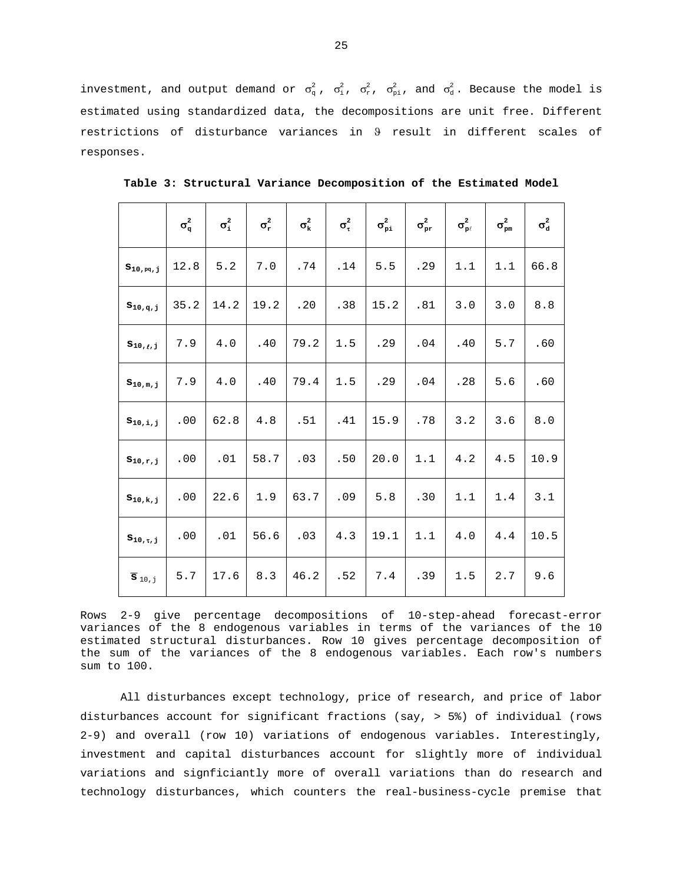investment, and output demand or  $\sigma_q^2$ ,  $\sigma_i^2$ ,  $\sigma_{r}^2$ ,  $\sigma_{pi}^2$ , and  $\sigma_d^2$ . Because the model is estimated using standardized data, the decompositions are unit free. Different restrictions of disturbance variances in  $9$  result in different scales of responses.

|                                |            |      | $\sigma_{\tt q}^2$   $\sigma_{\tt i}^2$   $\sigma_{\tt r}^2$   $\sigma_{\tt k}^2$   $\sigma_{\tt r}^2$   $\sigma_{\tt pi}^2$   $\sigma_{\tt pr}^2$   $\sigma_{\tt p\ell}^2$   $\sigma_{\tt pm}^2$   $\sigma_{\tt q}^2$ |      |     |      |              |         |     |      |
|--------------------------------|------------|------|------------------------------------------------------------------------------------------------------------------------------------------------------------------------------------------------------------------------|------|-----|------|--------------|---------|-----|------|
| $S_{10, pq, j}$                | $12.8$ 5.2 |      | 7.0                                                                                                                                                                                                                    | .74  | .14 | 5.5  | $\vert$ . 29 | 1.1     | 1.1 | 66.8 |
| $S_{10,q,j}$                   | 35.2       | 14.2 | 19.2                                                                                                                                                                                                                   | .20  | .38 | 15.2 | .81          | 3.0     | 3.0 | 8.8  |
| $S_{10,\ell,j}$                | 7.9        | 4.0  | .40                                                                                                                                                                                                                    | 79.2 | 1.5 | .29  | .04          | .40     | 5.7 | .60  |
| $S_{10,m,j}$                   | 7.9        | 4.0  | .40                                                                                                                                                                                                                    | 79.4 | 1.5 | .29  | $.04\,$      | .28     | 5.6 | .60  |
| $S_{10,i,j}$                   | .00        | 62.8 | 4.8                                                                                                                                                                                                                    | .51  | .41 | 15.9 | .78          | 3.2     | 3.6 | 8.0  |
| $S_{10,r,j}$                   | .00        | .01  | 58.7                                                                                                                                                                                                                   | .03  | .50 | 20.0 | 1.1          | $4.2\,$ | 4.5 | 10.9 |
| $S_{10,k,j}$                   | .00        | 22.6 | 1.9                                                                                                                                                                                                                    | 63.7 | .09 | 5.8  | .30          | 1.1     | 1.4 | 3.1  |
| $S_{10,7,1}$                   | .00        | .01  | 56.6                                                                                                                                                                                                                   | .03  | 4.3 | 19.1 | 1.1          | 4.0     | 4.4 | 10.5 |
| $\overline{\mathbf{s}}_{10,j}$ | 5.7        | 17.6 | 8.3                                                                                                                                                                                                                    | 46.2 | .52 | 7.4  | .39          | 1.5     | 2.7 | 9.6  |

**Table 3: Structural Variance Decomposition of the Estimated Model** 

Rows 2-9 give percentage decompositions of 10-step-ahead forecast-error variances of the 8 endogenous variables in terms of the variances of the 10 estimated structural disturbances. Row 10 gives percentage decomposition of the sum of the variances of the 8 endogenous variables. Each row's numbers sum to 100.

All disturbances except technology, price of research, and price of labor disturbances account for significant fractions (say, > 5%) of individual (rows 2-9) and overall (row 10) variations of endogenous variables. Interestingly, investment and capital disturbances account for slightly more of individual variations and signficiantly more of overall variations than do research and technology disturbances, which counters the real-business-cycle premise that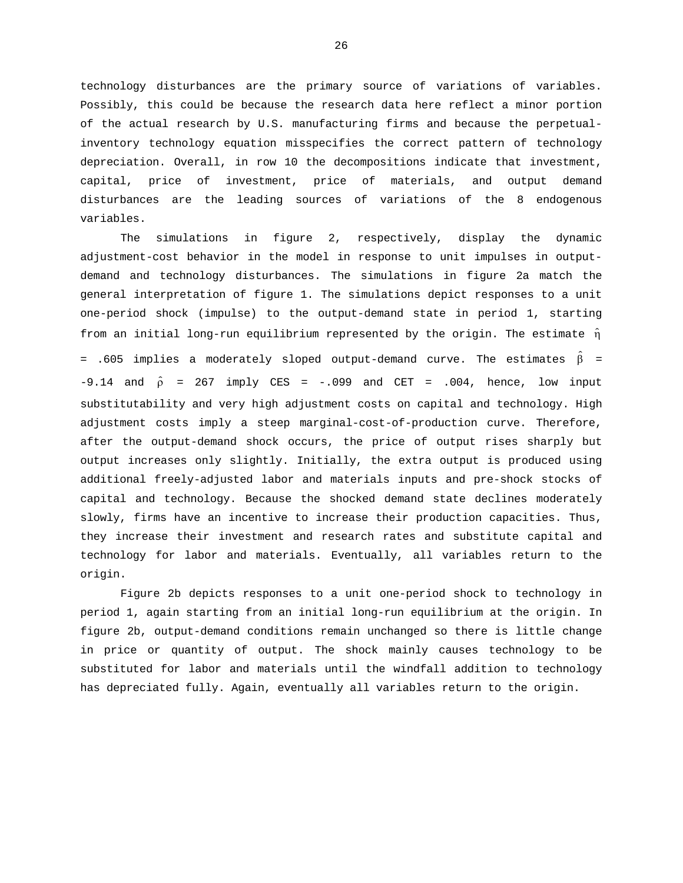technology disturbances are the primary source of variations of variables. Possibly, this could be because the research data here reflect a minor portion of the actual research by U.S. manufacturing firms and because the perpetualinventory technology equation misspecifies the correct pattern of technology depreciation. Overall, in row 10 the decompositions indicate that investment, capital, price of investment, price of materials, and output demand disturbances are the leading sources of variations of the 8 endogenous variables.

The simulations in figure 2, respectively, display the dynamic adjustment-cost behavior in the model in response to unit impulses in outputdemand and technology disturbances. The simulations in figure 2a match the general interpretation of figure 1. The simulations depict responses to a unit one-period shock (impulse) to the output-demand state in period 1, starting from an initial long-run equilibrium represented by the origin. The estimate ή = .605 implies a moderately sloped output-demand curve. The estimates  $\hat{\beta}$  =  $-9.14$  and  $\hat{\rho}$  = 267 imply CES = -.099 and CET = .004, hence, low input substitutability and very high adjustment costs on capital and technology. High adjustment costs imply a steep marginal-cost-of-production curve. Therefore, after the output-demand shock occurs, the price of output rises sharply but output increases only slightly. Initially, the extra output is produced using additional freely-adjusted labor and materials inputs and pre-shock stocks of capital and technology. Because the shocked demand state declines moderately slowly, firms have an incentive to increase their production capacities. Thus, they increase their investment and research rates and substitute capital and technology for labor and materials. Eventually, all variables return to the origin.

Figure 2b depicts responses to a unit one-period shock to technology in period 1, again starting from an initial long-run equilibrium at the origin. In figure 2b, output-demand conditions remain unchanged so there is little change in price or quantity of output. The shock mainly causes technology to be substituted for labor and materials until the windfall addition to technology has depreciated fully. Again, eventually all variables return to the origin.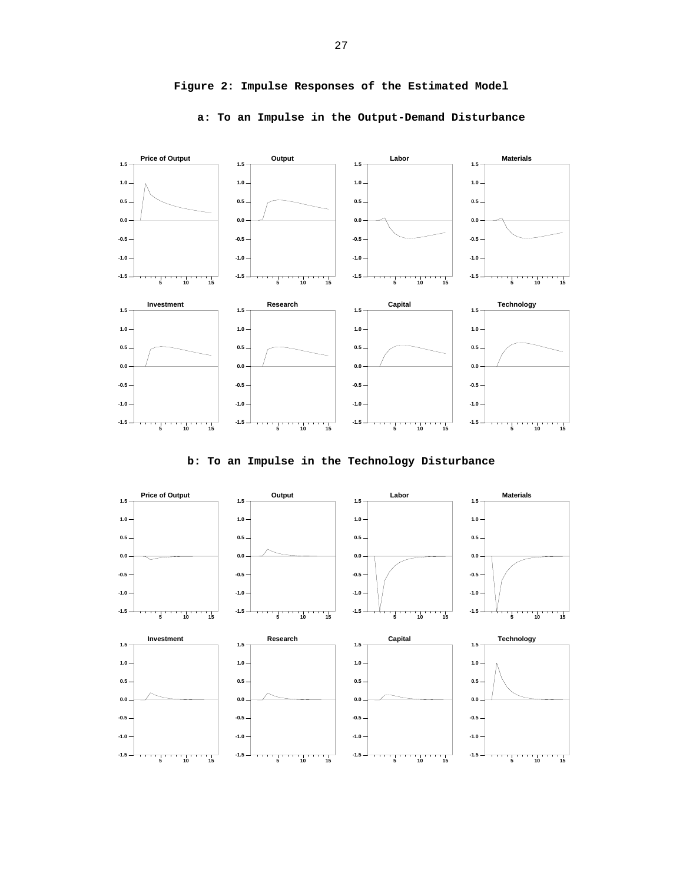

## **Figure 2: Impulse Responses of the Estimated Model**

**a: To an Impulse in the Output-Demand Disturbance** 

**b: To an Impulse in the Technology Disturbance** 

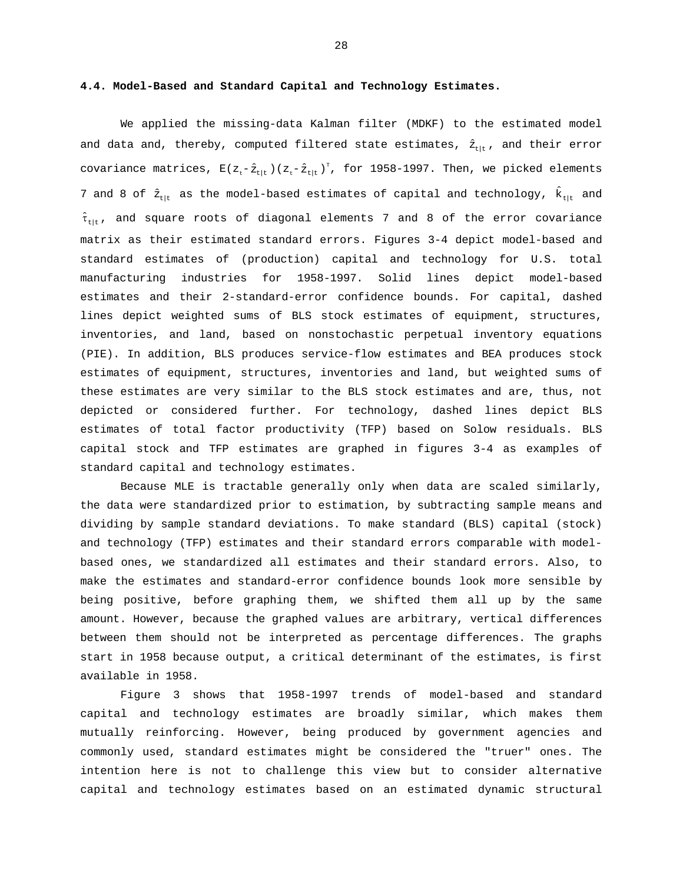## **4.4. Model-Based and Standard Capital and Technology Estimates.**

We applied the missing-data Kalman filter (MDKF) to the estimated model and data and, thereby, computed filtered state estimates,  $\hat{z}_{t|t}$ , and their error covariance matrices,  $E(z_t - \hat{z}_{t|t} | (z_t - \hat{z}_{t|t} )^T$ , for 1958-1997. Then, we picked elements 7 and 8 of  $\hat{z}_{\text{t}|t}$  as the model-based estimates of capital and technology,  $\hat{k}_{\text{t}|t}$  and  $\hat{\tau}_{tlt}$ , and square roots of diagonal elements 7 and 8 of the error covariance matrix as their estimated standard errors. Figures 3-4 depict model-based and standard estimates of (production) capital and technology for U.S. total manufacturing industries for 1958-1997. Solid lines depict model-based estimates and their 2-standard-error confidence bounds. For capital, dashed lines depict weighted sums of BLS stock estimates of equipment, structures, inventories, and land, based on nonstochastic perpetual inventory equations (PIE). In addition, BLS produces service-flow estimates and BEA produces stock estimates of equipment, structures, inventories and land, but weighted sums of these estimates are very similar to the BLS stock estimates and are, thus, not depicted or considered further. For technology, dashed lines depict BLS estimates of total factor productivity (TFP) based on Solow residuals. BLS capital stock and TFP estimates are graphed in figures 3-4 as examples of standard capital and technology estimates.

Because MLE is tractable generally only when data are scaled similarly, the data were standardized prior to estimation, by subtracting sample means and dividing by sample standard deviations. To make standard (BLS) capital (stock) and technology (TFP) estimates and their standard errors comparable with modelbased ones, we standardized all estimates and their standard errors. Also, to make the estimates and standard-error confidence bounds look more sensible by being positive, before graphing them, we shifted them all up by the same amount. However, because the graphed values are arbitrary, vertical differences between them should not be interpreted as percentage differences. The graphs start in 1958 because output, a critical determinant of the estimates, is first available in 1958.

Figure 3 shows that 1958-1997 trends of model-based and standard capital and technology estimates are broadly similar, which makes them mutually reinforcing. However, being produced by government agencies and commonly used, standard estimates might be considered the "truer" ones. The intention here is not to challenge this view but to consider alternative capital and technology estimates based on an estimated dynamic structural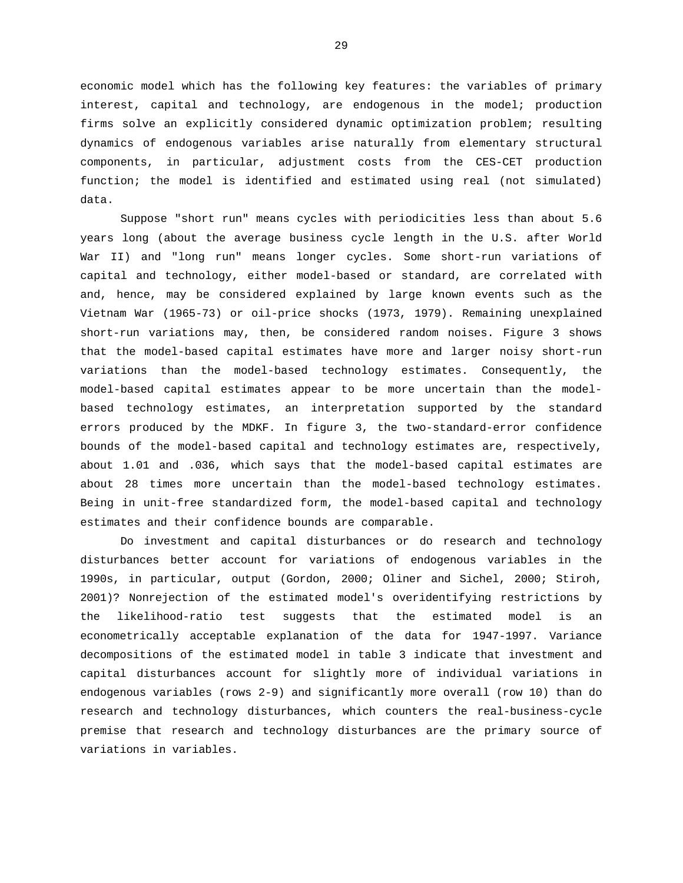economic model which has the following key features: the variables of primary interest, capital and technology, are endogenous in the model; production firms solve an explicitly considered dynamic optimization problem; resulting dynamics of endogenous variables arise naturally from elementary structural components, in particular, adjustment costs from the CES-CET production function; the model is identified and estimated using real (not simulated) data.

Suppose "short run" means cycles with periodicities less than about 5.6 years long (about the average business cycle length in the U.S. after World War II) and "long run" means longer cycles. Some short-run variations of capital and technology, either model-based or standard, are correlated with and, hence, may be considered explained by large known events such as the Vietnam War (1965-73) or oil-price shocks (1973, 1979). Remaining unexplained short-run variations may, then, be considered random noises. Figure 3 shows that the model-based capital estimates have more and larger noisy short-run variations than the model-based technology estimates. Consequently, the model-based capital estimates appear to be more uncertain than the modelbased technology estimates, an interpretation supported by the standard errors produced by the MDKF. In figure 3, the two-standard-error confidence bounds of the model-based capital and technology estimates are, respectively, about 1.01 and .036, which says that the model-based capital estimates are about 28 times more uncertain than the model-based technology estimates. Being in unit-free standardized form, the model-based capital and technology estimates and their confidence bounds are comparable.

Do investment and capital disturbances or do research and technology disturbances better account for variations of endogenous variables in the 1990s, in particular, output (Gordon, 2000; Oliner and Sichel, 2000; Stiroh, 2001)? Nonrejection of the estimated model's overidentifying restrictions by the likelihood-ratio test suggests that the estimated model is an econometrically acceptable explanation of the data for 1947-1997. Variance decompositions of the estimated model in table 3 indicate that investment and capital disturbances account for slightly more of individual variations in endogenous variables (rows 2-9) and significantly more overall (row 10) than do research and technology disturbances, which counters the real-business-cycle premise that research and technology disturbances are the primary source of variations in variables.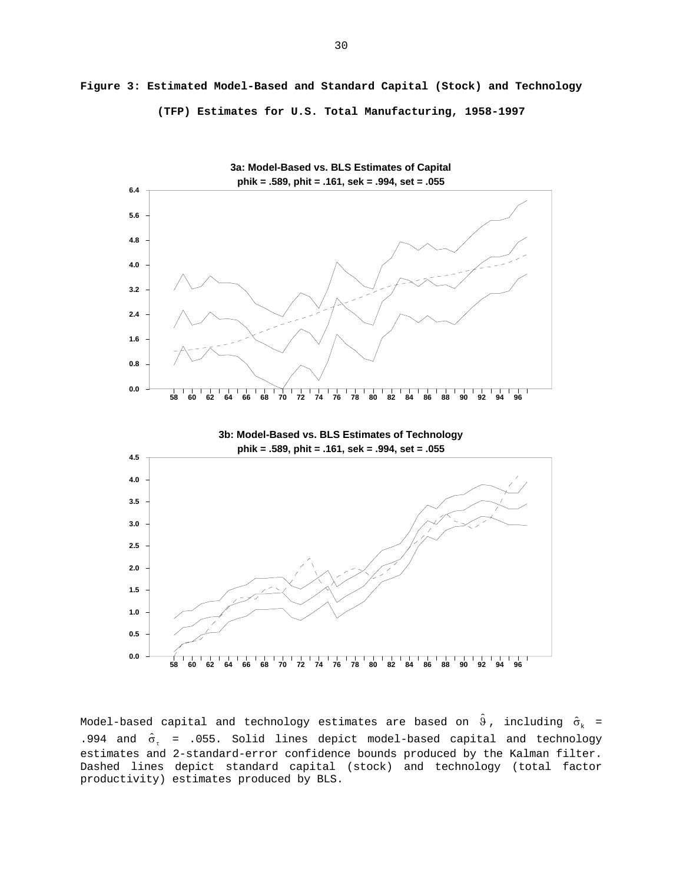

**Figure 3: Estimated Model-Based and Standard Capital (Stock) and Technology** 

**(TFP) Estimates for U.S. Total Manufacturing, 1958-1997** 

Model-based capital and technology estimates are based on  $\hat{9}$ , including  $\hat{\sigma}_{_\mathrm{k}}$  = .994 and  $\hat{\sigma}_{\tau}$  = .055. Solid lines depict model-based capital and technology estimates and 2-standard-error confidence bounds produced by the Kalman filter. Dashed lines depict standard capital (stock) and technology (total factor productivity) estimates produced by BLS.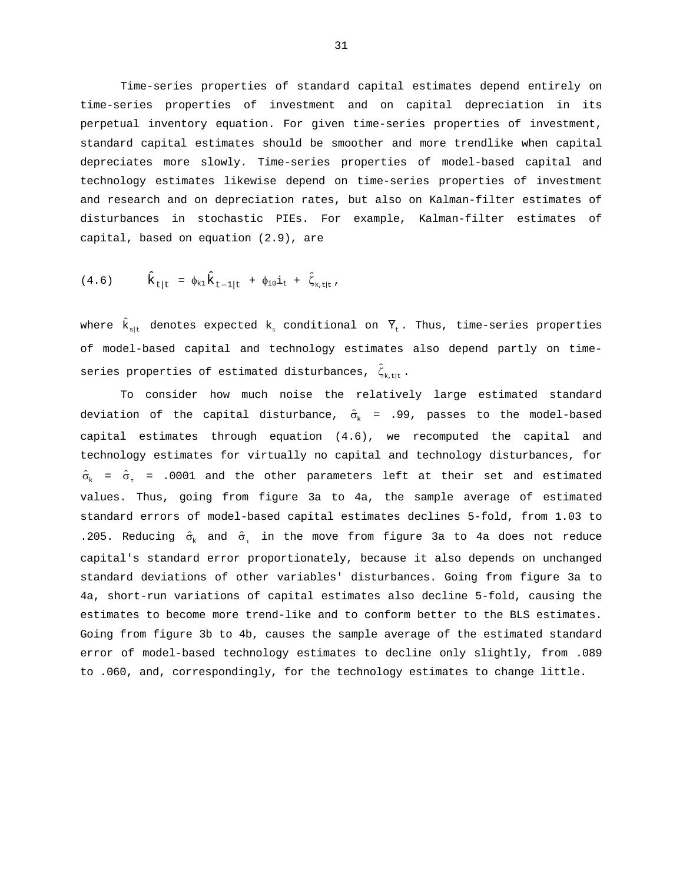Time-series properties of standard capital estimates depend entirely on time-series properties of investment and on capital depreciation in its perpetual inventory equation. For given time-series properties of investment, standard capital estimates should be smoother and more trendlike when capital depreciates more slowly. Time-series properties of model-based capital and technology estimates likewise depend on time-series properties of investment and research and on depreciation rates, but also on Kalman-filter estimates of disturbances in stochastic PIEs. For example, Kalman-filter estimates of capital, based on equation (2.9), are

$$
(4.6) \qquad \hat{k}_{t|t} = \phi_{k1} \hat{k}_{t-1|t} + \phi_{i0} i_{t} + \hat{\zeta}_{k,t|t},
$$

where  $\hat{k}_{s|t}$  denotes expected  $k_s$  conditional on  $\bar{Y}_t$ . Thus, time-series properties of model-based capital and technology estimates also depend partly on timeseries properties of estimated disturbances,  $\hat{\zeta}_{k, t|t}$ .

To consider how much noise the relatively large estimated standard deviation of the capital disturbance,  $\hat{\sigma}_{k}$  = .99, passes to the model-based capital estimates through equation (4.6), we recomputed the capital and technology estimates for virtually no capital and technology disturbances, for  $\hat{\sigma}_{k}$  =  $\hat{\sigma}_{\tau}$  = .0001 and the other parameters left at their set and estimated values. Thus, going from figure 3a to 4a, the sample average of estimated standard errors of model-based capital estimates declines 5-fold, from 1.03 to .205. Reducing  $\hat{\sigma}_{\kappa}$  and  $\hat{\sigma}_{\tau}$  in the move from figure 3a to 4a does not reduce capital's standard error proportionately, because it also depends on unchanged standard deviations of other variables' disturbances. Going from figure 3a to 4a, short-run variations of capital estimates also decline 5-fold, causing the estimates to become more trend-like and to conform better to the BLS estimates. Going from figure 3b to 4b, causes the sample average of the estimated standard error of model-based technology estimates to decline only slightly, from .089 to .060, and, correspondingly, for the technology estimates to change little.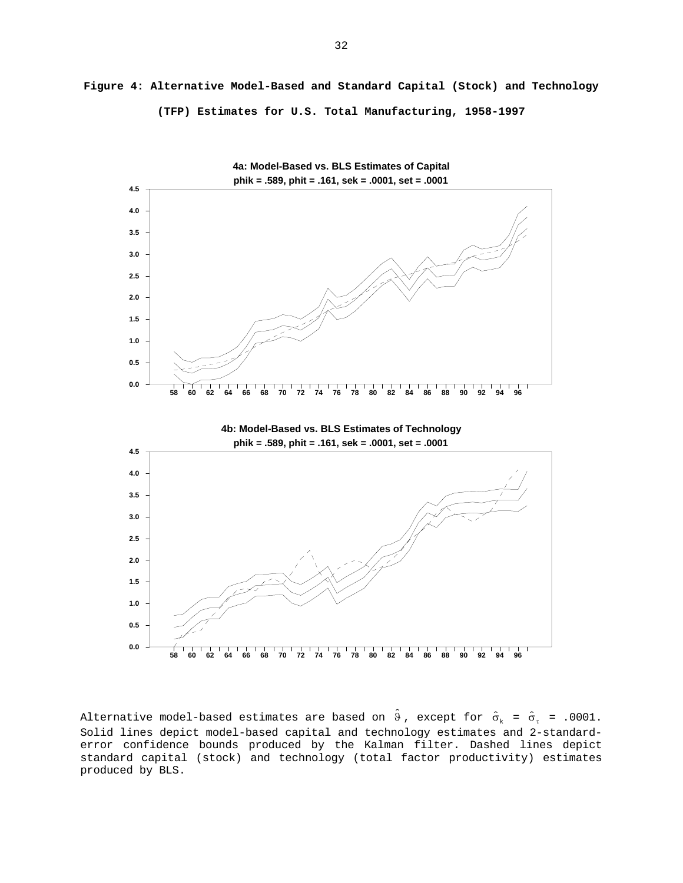

**(TFP) Estimates for U.S. Total Manufacturing, 1958-1997** 



Alternative model-based estimates are based on  $\hat{9}$ , except for  $\hat{\sigma}_{_\text{\tiny{K}}}$  =  $\hat{\sigma}_{_\text{\tiny{T}}}$  = .0001. Solid lines depict model-based capital and technology estimates and 2-standarderror confidence bounds produced by the Kalman filter. Dashed lines depict standard capital (stock) and technology (total factor productivity) estimates produced by BLS.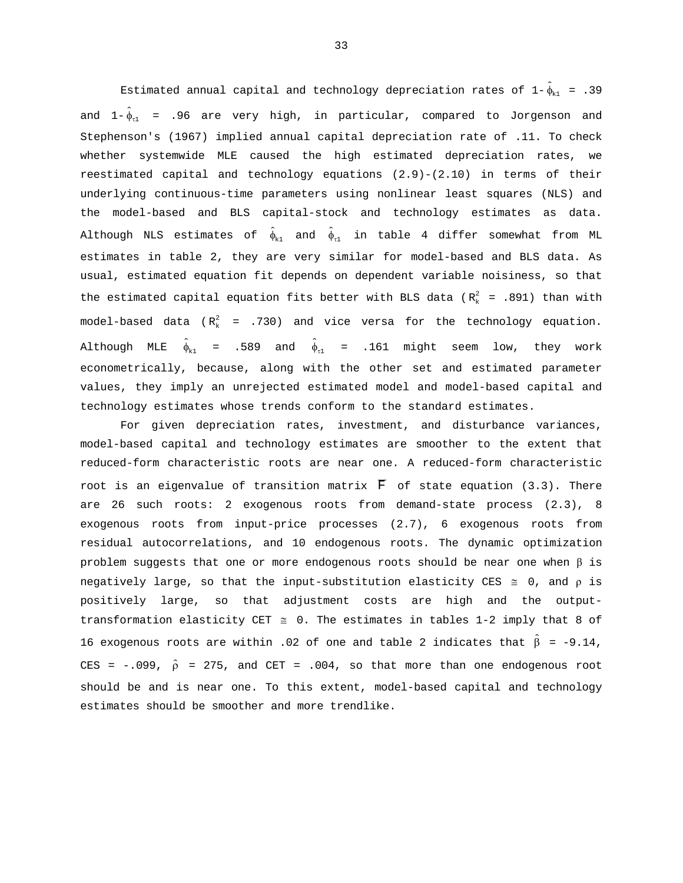Estimated annual capital and technology depreciation rates of  $1-\hat{\phi}_{k_1}$  = .39 and  $1-\phi_{t1}$  = .96 are very high, in particular, compared to Jorgenson and Stephenson's (1967) implied annual capital depreciation rate of .11. To check whether systemwide MLE caused the high estimated depreciation rates, we reestimated capital and technology equations  $(2.9)-(2.10)$  in terms of their underlying continuous-time parameters using nonlinear least squares (NLS) and the model-based and BLS capital-stock and technology estimates as data. Although NLS estimates of  $\hat{\phi}_{k1}$  and  $\hat{\phi}_{r1}$  in table 4 differ somewhat from ML estimates in table 2, they are very similar for model-based and BLS data. As usual, estimated equation fit depends on dependent variable noisiness, so that the estimated capital equation fits better with BLS data ( $R_k^2$  = .891) than with model-based data ( $R_k^2$  = .730) and vice versa for the technology equation. Although MLE  $\hat{\phi}_{k_1}$  = .589 and  $\hat{\phi}_{r_1}$  = .161 might seem low, they work econometrically, because, along with the other set and estimated parameter values, they imply an unrejected estimated model and model-based capital and technology estimates whose trends conform to the standard estimates.

For given depreciation rates, investment, and disturbance variances, model-based capital and technology estimates are smoother to the extent that reduced-form characteristic roots are near one. A reduced-form characteristic root is an eigenvalue of transition matrix  $\overline{F}$  of state equation (3.3). There are 26 such roots: 2 exogenous roots from demand-state process (2.3), 8 exogenous roots from input-price processes (2.7), 6 exogenous roots from residual autocorrelations, and 10 endogenous roots. The dynamic optimization problem suggests that one or more endogenous roots should be near one when  $\beta$  is negatively large, so that the input-substitution elasticity CES  $\cong$  0, and  $\rho$  is positively large, so that adjustment costs are high and the outputtransformation elasticity CET  $\cong$  0. The estimates in tables 1-2 imply that 8 of 16 exogenous roots are within .02 of one and table 2 indicates that  $\hat{\beta}$  = -9.14, CES =  $-.099$ ,  $\hat{\rho}$  = 275, and CET = .004, so that more than one endogenous root should be and is near one. To this extent, model-based capital and technology estimates should be smoother and more trendlike.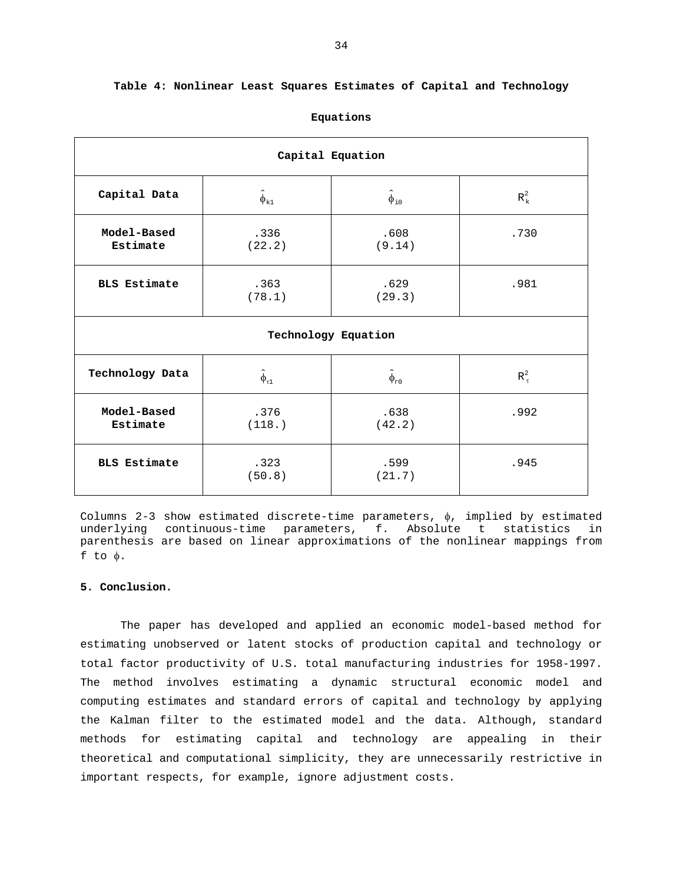| Capital Equation        |                                |                                              |              |  |  |
|-------------------------|--------------------------------|----------------------------------------------|--------------|--|--|
| Capital Data            | $\hat{\boldsymbol{\phi}}_{k1}$ | $\hat{\phi}_{i0}$                            | $R_k^2$      |  |  |
| Model-Based<br>Estimate | .336<br>(22.2)                 | .608<br>(9.14)                               | .730         |  |  |
| <b>BLS Estimate</b>     | .363<br>(78.1)                 | .629<br>(29.3)                               | .981         |  |  |
| Technology Equation     |                                |                                              |              |  |  |
| Technology Data         | $\hat{\phi}_{\tau 1}$          | $\hat{\phi}_{\scriptscriptstyle\mathrm{r}0}$ | $R_{\tau}^2$ |  |  |
| Model-Based<br>Estimate | .376<br>(118.)                 | .638<br>(42.2)                               | .992         |  |  |
| <b>BLS Estimate</b>     | .323<br>(50.8)                 | .599<br>(21.7)                               | .945         |  |  |

**Table 4: Nonlinear Least Squares Estimates of Capital and Technology** 

**Equations** 

Columns 2-3 show estimated discrete-time parameters,  $\phi$ , implied by estimated underlying continuous-time parameters, f. Absolute t statistics in parenthesis are based on linear approximations of the nonlinear mappings from  $f$  to  $\phi$ .

## **5. Conclusion.**

The paper has developed and applied an economic model-based method for estimating unobserved or latent stocks of production capital and technology or total factor productivity of U.S. total manufacturing industries for 1958-1997. The method involves estimating a dynamic structural economic model and computing estimates and standard errors of capital and technology by applying the Kalman filter to the estimated model and the data. Although, standard methods for estimating capital and technology are appealing in their theoretical and computational simplicity, they are unnecessarily restrictive in important respects, for example, ignore adjustment costs.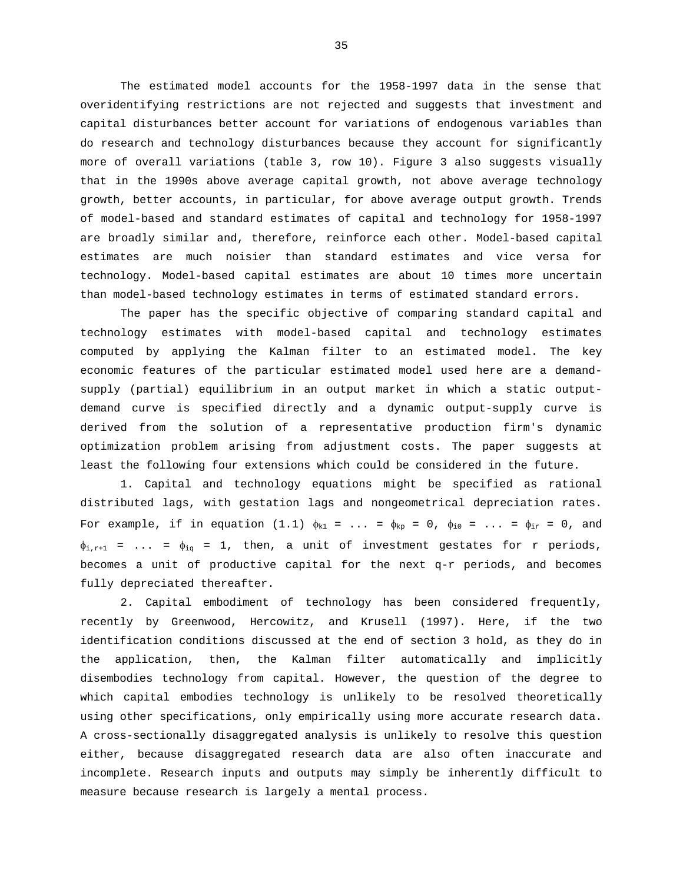The estimated model accounts for the 1958-1997 data in the sense that overidentifying restrictions are not rejected and suggests that investment and capital disturbances better account for variations of endogenous variables than do research and technology disturbances because they account for significantly more of overall variations (table 3, row 10). Figure 3 also suggests visually that in the 1990s above average capital growth, not above average technology growth, better accounts, in particular, for above average output growth. Trends of model-based and standard estimates of capital and technology for 1958-1997 are broadly similar and, therefore, reinforce each other. Model-based capital estimates are much noisier than standard estimates and vice versa for technology. Model-based capital estimates are about 10 times more uncertain than model-based technology estimates in terms of estimated standard errors.

The paper has the specific objective of comparing standard capital and technology estimates with model-based capital and technology estimates computed by applying the Kalman filter to an estimated model. The key economic features of the particular estimated model used here are a demandsupply (partial) equilibrium in an output market in which a static outputdemand curve is specified directly and a dynamic output-supply curve is derived from the solution of a representative production firm's dynamic optimization problem arising from adjustment costs. The paper suggests at least the following four extensions which could be considered in the future.

1. Capital and technology equations might be specified as rational distributed lags, with gestation lags and nongeometrical depreciation rates. For example, if in equation (1.1)  $\phi_{k1} = ... = \phi_{kp} = 0$ ,  $\phi_{i0} = ... = \phi_{ir} = 0$ , and  $\phi_{i,r+1}$  = ... =  $\phi_{iq}$  = 1, then, a unit of investment gestates for r periods, becomes a unit of productive capital for the next q-r periods, and becomes fully depreciated thereafter.

2. Capital embodiment of technology has been considered frequently, recently by Greenwood, Hercowitz, and Krusell (1997). Here, if the two identification conditions discussed at the end of section 3 hold, as they do in the application, then, the Kalman filter automatically and implicitly disembodies technology from capital. However, the question of the degree to which capital embodies technology is unlikely to be resolved theoretically using other specifications, only empirically using more accurate research data. A cross-sectionally disaggregated analysis is unlikely to resolve this question either, because disaggregated research data are also often inaccurate and incomplete. Research inputs and outputs may simply be inherently difficult to measure because research is largely a mental process.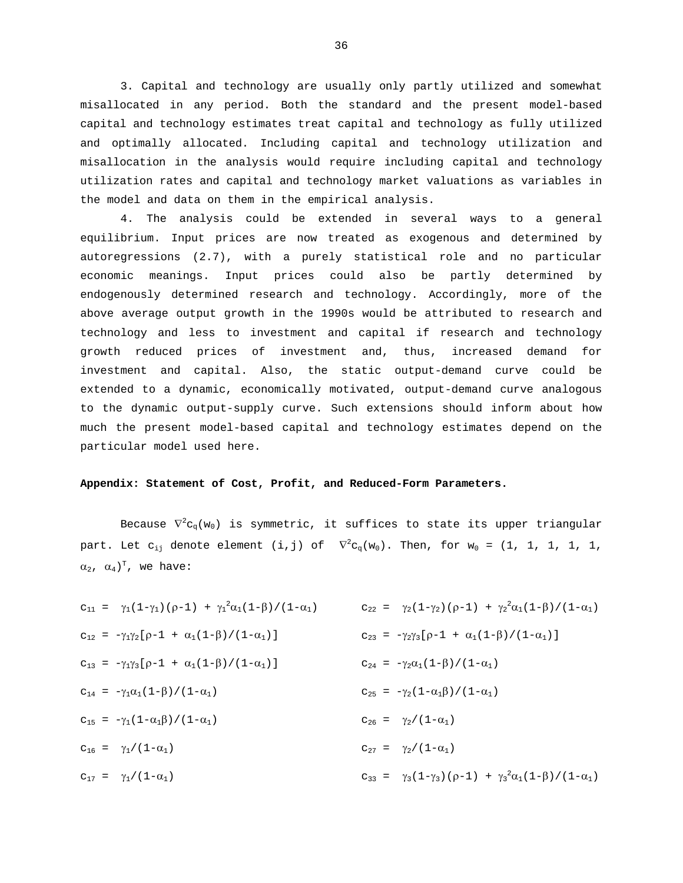3. Capital and technology are usually only partly utilized and somewhat misallocated in any period. Both the standard and the present model-based capital and technology estimates treat capital and technology as fully utilized and optimally allocated. Including capital and technology utilization and misallocation in the analysis would require including capital and technology utilization rates and capital and technology market valuations as variables in the model and data on them in the empirical analysis.

4. The analysis could be extended in several ways to a general equilibrium. Input prices are now treated as exogenous and determined by autoregressions (2.7), with a purely statistical role and no particular economic meanings. Input prices could also be partly determined by endogenously determined research and technology. Accordingly, more of the above average output growth in the 1990s would be attributed to research and technology and less to investment and capital if research and technology growth reduced prices of investment and, thus, increased demand for investment and capital. Also, the static output-demand curve could be extended to a dynamic, economically motivated, output-demand curve analogous to the dynamic output-supply curve. Such extensions should inform about how much the present model-based capital and technology estimates depend on the particular model used here.

#### **Appendix: Statement of Cost, Profit, and Reduced-Form Parameters.**

Because  $\nabla^2 \mathbf{c}_q(\mathbf{w}_0)$  is symmetric, it suffices to state its upper triangular part. Let  ${\tt c}_{\tt ij}$  denote element (i,j) of  $\nabla^2{\tt c}_{\tt q}({\tt w}_0)$ . Then, for  ${\tt w}_0$  = (1, 1, 1, 1, 1, 1,  $\alpha_2$ ,  $\alpha_4$ )<sup>T</sup>, we have:

$$
c_{11} = \gamma_1(1-\gamma_1)(\rho-1) + \gamma_1^2\alpha_1(1-\beta)/(1-\alpha_1)
$$
  
\n
$$
c_{12} = -\gamma_1\gamma_2[\rho-1 + \alpha_1(1-\beta)/(1-\alpha_1)]
$$
  
\n
$$
c_{13} = -\gamma_1\gamma_3[\rho-1 + \alpha_1(1-\beta)/(1-\alpha_1)]
$$
  
\n
$$
c_{14} = -\gamma_1\gamma_3[\rho-1 + \alpha_1(1-\beta)/(1-\alpha_1)]
$$
  
\n
$$
c_{15} = -\gamma_1(\alpha_1(1-\beta)/(1-\alpha_1))
$$
  
\n
$$
c_{16} = \gamma_1(1-\alpha_1\beta)/(1-\alpha_1)
$$
  
\n
$$
c_{17} = \gamma_1(1-\alpha_1)
$$
  
\n
$$
c_{18} = \gamma_1(1-\alpha_1)
$$
  
\n
$$
c_{19} = \gamma_1(1-\alpha_1)
$$
  
\n
$$
c_{10} = \gamma_1(1-\alpha_1)
$$
  
\n
$$
c_{10} = \gamma_1(1-\alpha_1)
$$
  
\n
$$
c_{11} = \gamma_1(1-\alpha_1)
$$
  
\n
$$
c_{12} = \gamma_2(1-\alpha_1)
$$
  
\n
$$
c_{13} = \gamma_3(1-\gamma_3)(\rho-1) + \gamma_3^2\alpha_1(1-\beta)/(1-\alpha_1)
$$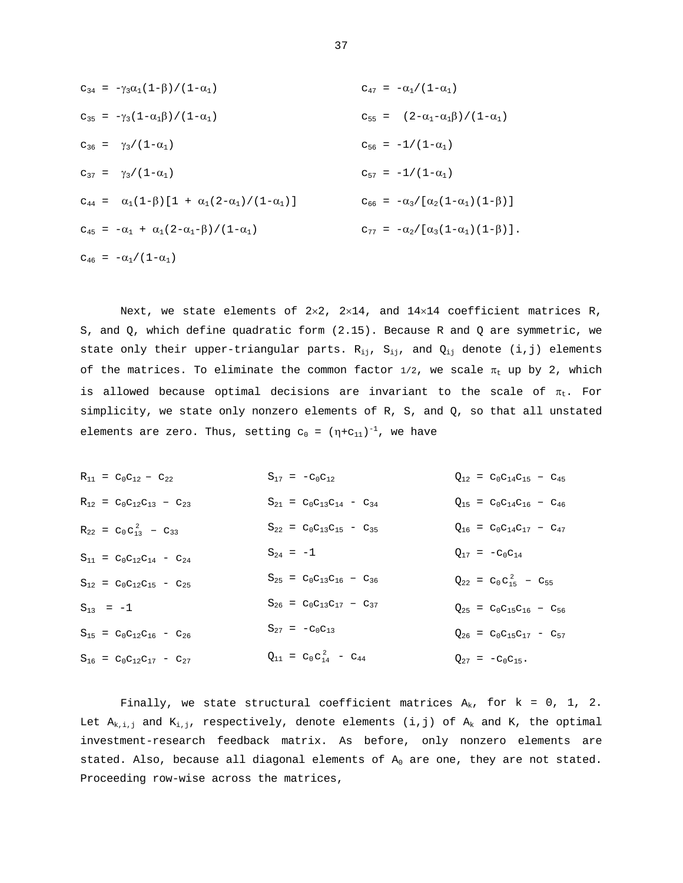|  | $C_{34} = -\gamma_3 \alpha_1 (1-\beta) / (1-\alpha_1)$                 | $C_{47} = -\alpha_1 / (1-\alpha_1)$                        |
|--|------------------------------------------------------------------------|------------------------------------------------------------|
|  | $C_{35} = -\gamma_3 (1-\alpha_1 \beta) / (1-\alpha_1)$                 | $C_{55} = (2-\alpha_1-\alpha_1\beta)/(1-\alpha_1)$         |
|  | $C_{36} = \gamma_3/(1-\alpha_1)$                                       | $C_{56} = -1/(1-\alpha_1)$                                 |
|  | $C_{37} = \gamma_3/(1-\alpha_1)$                                       | $C_{57} = -1/(1-\alpha_1)$                                 |
|  | $C_{44} = \alpha_1 (1-\beta) [1 + \alpha_1 (2-\alpha_1)/(1-\alpha_1)]$ | $c_{66} = -\alpha_3 / [\alpha_2 (1-\alpha_1) (1-\beta)]$   |
|  | $c_{45} = -\alpha_1 + \alpha_1 (2-\alpha_1-\beta) / (1-\alpha_1)$      | $C_{77} = -\alpha_2 / [\alpha_3 (1-\alpha_1) (1-\beta)]$ . |
|  | $C_{46} = -\alpha_1/(1-\alpha_1)$                                      |                                                            |

 Next, we state elements of 2×2, 2×14, and 14×14 coefficient matrices R, S, and Q, which define quadratic form (2.15). Because R and Q are symmetric, we state only their upper-triangular parts.  $R_{ij}$ ,  $S_{ij}$ , and  $Q_{ij}$  denote (i,j) elements of the matrices. To eliminate the common factor  $1/2$ , we scale  $\pi_t$  up by 2, which is allowed because optimal decisions are invariant to the scale of  $\pi_t$ . For simplicity, we state only nonzero elements of R, S, and Q, so that all unstated elements are zero. Thus, setting  $c_0 = (\eta + c_{11})^{-1}$ , we have

| $R_{11} = C_0C_{12} - C_{22}$                                                                              | $S_{17} = -C_0C_{12}$               | $Q_{12} = C_0 C_{14} C_{15} - C_{45}$ |
|------------------------------------------------------------------------------------------------------------|-------------------------------------|---------------------------------------|
| $R_{12} = C_0C_{12}C_{13} - C_{23}$                                                                        | $S_{21} = C_0C_{13}C_{14} - C_{34}$ | $Q_{15} = C_0C_{14}C_{16} - C_{46}$   |
| $R_{22} = C_0 C_{13}^2 - C_{33}$                                                                           | $S_{22} = C_0C_{13}C_{15} - C_{35}$ | $Q_{16} = C_0C_{14}C_{17} - C_{47}$   |
| $\label{eq:3.15} {\rm S}_{11}~=~{\rm C}_{0}{\rm C}_{12}{\rm C}_{14}~-~{\rm C}_{24}$                        | $S_{24} = -1$                       | $Q_{17} = -C_0C_{14}$                 |
| $S_{12} = C_0 C_{12} C_{15} - C_{25}$                                                                      | $S_{25} = C_0C_{13}C_{16} - C_{36}$ | $Q_{22} = C_0 C_{15}^2 - C_{55}$      |
| $S_{13} = -1$                                                                                              | $S_{26} = C_0C_{13}C_{17} - C_{37}$ | $Q_{25} = C_0C_{15}C_{16} - C_{56}$   |
| $S_{15}$ = $C_0C_{12}C_{16}$ - $C_{26}$                                                                    | $S_{27} = -C_0C_{13}$               | $Q_{26} = C_0C_{15}C_{17} - C_{57}$   |
| $\label{eq:3.16} \mathrm{S}_{16} \ = \ \mathrm{C}_{0}\mathrm{C}_{12}\mathrm{C}_{17} \ - \ \mathrm{C}_{27}$ | $Q_{11} = C_0 C_{14}^2 - C_{44}$    | $Q_{27} = -C_0C_{15}$ .               |

Finally, we state structural coefficient matrices  $A_k$ , for  $k = 0$ , 1, 2. Let  $A_{k,i,j}$  and  $K_{i,j}$ , respectively, denote elements (i,j) of  $A_k$  and K, the optimal investment-research feedback matrix. As before, only nonzero elements are stated. Also, because all diagonal elements of  $A_0$  are one, they are not stated. Proceeding row-wise across the matrices,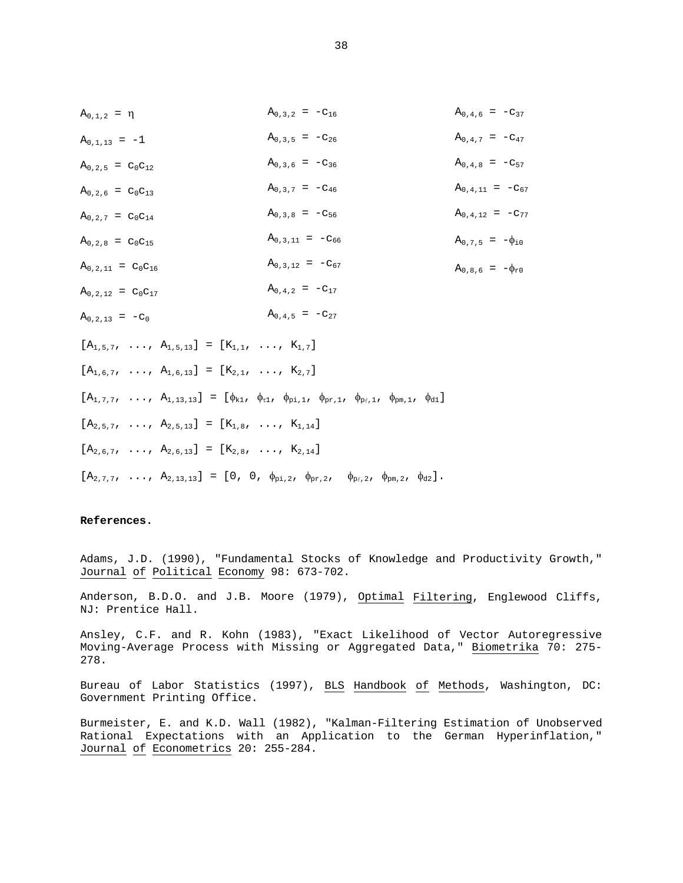| $A_{0,1,2} = \eta$                                                                                                                                                                   | $A_{0,3,2} = -c_{16}$  | $A_{0,4,6} = -C_{37}$    |
|--------------------------------------------------------------------------------------------------------------------------------------------------------------------------------------|------------------------|--------------------------|
| $A_{0,1,13} = -1$                                                                                                                                                                    | $A_{0,3,5} = -c_{26}$  | $A_{0,4,7} = -c_{47}$    |
| $A_{0,2,5} = C_0C_{12}$                                                                                                                                                              | $A_{0,3,6} = -C_{36}$  | $A_{0,4,8} = -C_{57}$    |
| $A_{0,2,6} = C_0C_{13}$                                                                                                                                                              | $A_{0,3,7} = -c_{46}$  | $A_{0,4,11} = -C_{67}$   |
| $A_{0,2,7} = C_0C_{14}$                                                                                                                                                              | $A_{0,3,8} = -C_{56}$  | $A_{0,4,12} = -C_{77}$   |
| $A_{0,2,8} = C_0C_{15}$                                                                                                                                                              | $A_{0,3,11} = -c_{66}$ | $A_{0,7,5} = -\phi_{10}$ |
| $A_{0,2,11} = C_0C_{16}$                                                                                                                                                             | $A_{0,3,12} = -C_{67}$ | $A_{0,8,6} = -\phi_{r0}$ |
| $A_{0,2,12} = C_0C_{17}$                                                                                                                                                             | $A_{0,4,2} = -c_{17}$  |                          |
| $A_{0,2,13} = -c_0$                                                                                                                                                                  | $A_{0,4,5} = -c_{27}$  |                          |
| $[A_{1,5,7}, \ldots, A_{1,5,13}] = [K_{1,1}, \ldots, K_{1,7}]$                                                                                                                       |                        |                          |
| $[A_{1,6,7}, \ldots, A_{1,6,13}] = [K_{2,1}, \ldots, K_{2,7}]$                                                                                                                       |                        |                          |
| $[A_{1,7,7}, \ldots, A_{1,13,13}] = [\phi_{k1}, \phi_{\tau1}, \phi_{\text{pi},1}, \phi_{\text{pr},1}, \phi_{\text{pr},1}, \phi_{\text{pm},1}, \phi_{\text{cm},1}, \phi_{\text{dl}}]$ |                        |                          |
| $[A_{2,5,7}, \ldots, A_{2,5,13}] = [K_{1,8}, \ldots, K_{1,14}]$                                                                                                                      |                        |                          |
| $[A_{2,6,7}, \ldots, A_{2,6,13}] = [K_{2,8}, \ldots, K_{2,14}]$                                                                                                                      |                        |                          |
| $[A_{2,7,7}, \ldots, A_{2,13,13}] = [0, 0, \phi_{p1,2}, \phi_{pr,2}, \phi_{p\ell,2}, \phi_{pm,2}, \phi_{d2}].$                                                                       |                        |                          |
|                                                                                                                                                                                      |                        |                          |

## **References.**

Adams, J.D. (1990), "Fundamental Stocks of Knowledge and Productivity Growth," Journal of Political Economy 98: 673-702.

Anderson, B.D.O. and J.B. Moore (1979), Optimal Filtering, Englewood Cliffs, NJ: Prentice Hall.

Ansley, C.F. and R. Kohn (1983), "Exact Likelihood of Vector Autoregressive Moving-Average Process with Missing or Aggregated Data," Biometrika 70: 275- 278.

Bureau of Labor Statistics (1997), BLS Handbook of Methods, Washington, DC: Government Printing Office.

Burmeister, E. and K.D. Wall (1982), "Kalman-Filtering Estimation of Unobserved Rational Expectations with an Application to the German Hyperinflation," Journal of Econometrics 20: 255-284.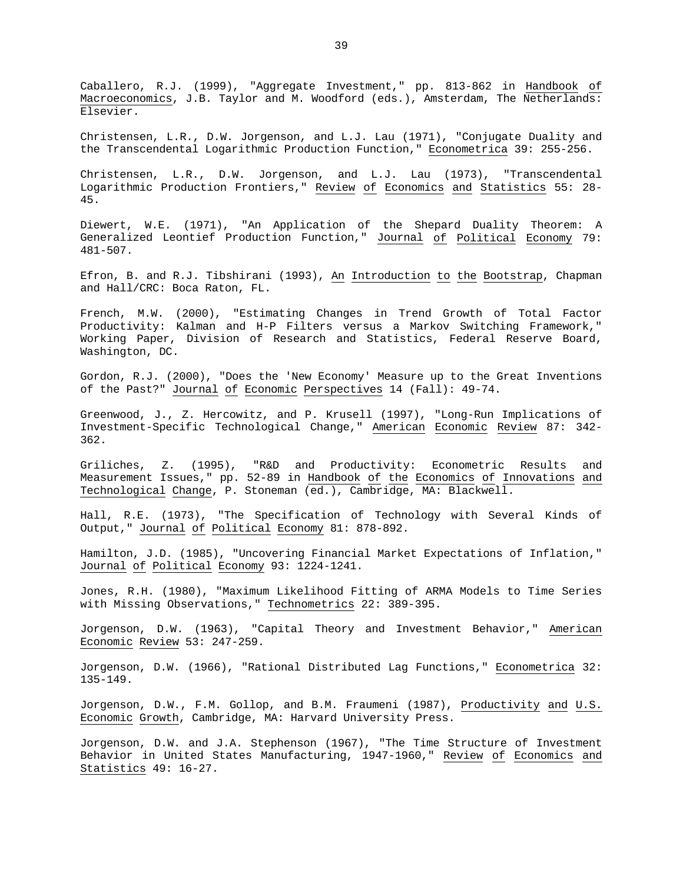Caballero, R.J. (1999), "Aggregate Investment," pp. 813-862 in Handbook of Macroeconomics, J.B. Taylor and M. Woodford (eds.), Amsterdam, The Netherlands: Elsevier.

Christensen, L.R., D.W. Jorgenson, and L.J. Lau (1971), "Conjugate Duality and the Transcendental Logarithmic Production Function," Econometrica 39: 255-256.

Christensen, L.R., D.W. Jorgenson, and L.J. Lau (1973), "Transcendental Logarithmic Production Frontiers," Review of Economics and Statistics 55: 28- 45.

Diewert, W.E. (1971), "An Application of the Shepard Duality Theorem: A Generalized Leontief Production Function," Journal of Political Economy 79: 481-507.

Efron, B. and R.J. Tibshirani (1993), An Introduction to the Bootstrap, Chapman and Hall/CRC: Boca Raton, FL.

French, M.W. (2000), "Estimating Changes in Trend Growth of Total Factor Productivity: Kalman and H-P Filters versus a Markov Switching Framework," Working Paper, Division of Research and Statistics, Federal Reserve Board, Washington, DC.

Gordon, R.J. (2000), "Does the 'New Economy' Measure up to the Great Inventions of the Past?" Journal of Economic Perspectives 14 (Fall): 49-74.

Greenwood, J., Z. Hercowitz, and P. Krusell (1997), "Long-Run Implications of Investment-Specific Technological Change," American Economic Review 87: 342- 362.

Griliches, Z. (1995), "R&D and Productivity: Econometric Results and Measurement Issues," pp. 52-89 in Handbook of the Economics of Innovations and Technological Change, P. Stoneman (ed.), Cambridge, MA: Blackwell.

Hall, R.E. (1973), "The Specification of Technology with Several Kinds of Output," Journal of Political Economy 81: 878-892.

Hamilton, J.D. (1985), "Uncovering Financial Market Expectations of Inflation," Journal of Political Economy 93: 1224-1241.

Jones, R.H. (1980), "Maximum Likelihood Fitting of ARMA Models to Time Series with Missing Observations," Technometrics 22: 389-395.

Jorgenson, D.W. (1963), "Capital Theory and Investment Behavior," American Economic Review 53: 247-259.

Jorgenson, D.W. (1966), "Rational Distributed Lag Functions," Econometrica 32: 135-149.

Jorgenson, D.W., F.M. Gollop, and B.M. Fraumeni (1987), Productivity and U.S. Economic Growth, Cambridge, MA: Harvard University Press.

Jorgenson, D.W. and J.A. Stephenson (1967), "The Time Structure of Investment Behavior in United States Manufacturing, 1947-1960," Review of Economics and Statistics 49: 16-27.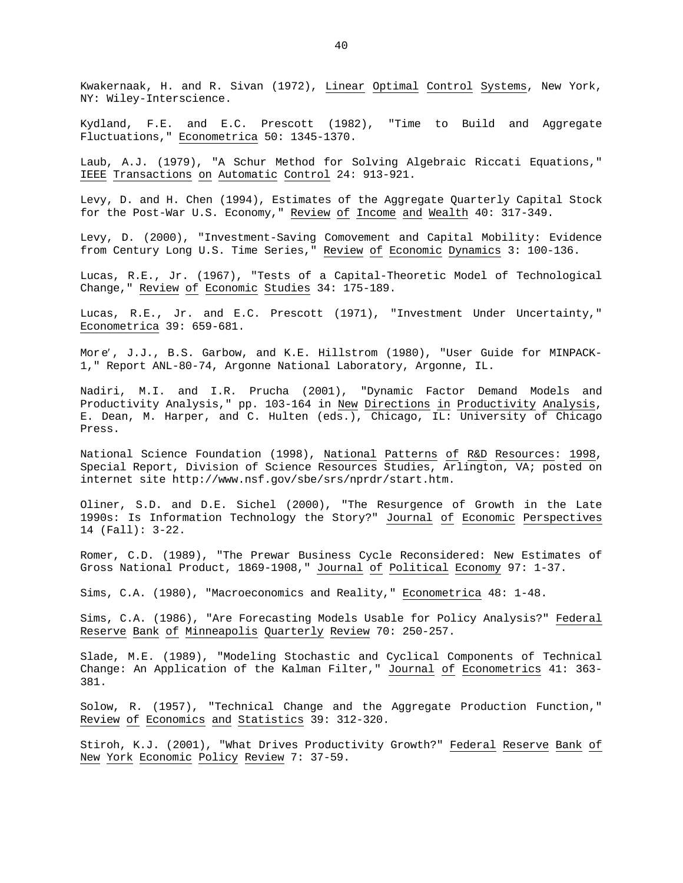Kwakernaak, H. and R. Sivan (1972), Linear Optimal Control Systems, New York, NY: Wiley-Interscience.

Kydland, F.E. and E.C. Prescott (1982), "Time to Build and Aggregate Fluctuations," Econometrica 50: 1345-1370.

Laub, A.J. (1979), "A Schur Method for Solving Algebraic Riccati Equations," IEEE Transactions on Automatic Control 24: 913-921.

Levy, D. and H. Chen (1994), Estimates of the Aggregate Quarterly Capital Stock for the Post-War U.S. Economy," Review of Income and Wealth 40: 317-349.

Levy, D. (2000), "Investment-Saving Comovement and Capital Mobility: Evidence from Century Long U.S. Time Series," Review of Economic Dynamics 3: 100-136.

Lucas, R.E., Jr. (1967), "Tests of a Capital-Theoretic Model of Technological Change," Review of Economic Studies 34: 175-189.

Lucas, R.E., Jr. and E.C. Prescott (1971), "Investment Under Uncertainty," Econometrica 39: 659-681.

More', J.J., B.S. Garbow, and K.E. Hillstrom (1980), "User Guide for MINPACK-1," Report ANL-80-74, Argonne National Laboratory, Argonne, IL.

Nadiri, M.I. and I.R. Prucha (2001), "Dynamic Factor Demand Models and Productivity Analysis," pp. 103-164 in New Directions in Productivity Analysis, E. Dean, M. Harper, and C. Hulten (eds.), Chicago, IL: University of Chicago Press.

National Science Foundation (1998), National Patterns of R&D Resources: 1998, Special Report, Division of Science Resources Studies, Arlington, VA; posted on internet site http://www.nsf.gov/sbe/srs/nprdr/start.htm.

Oliner, S.D. and D.E. Sichel (2000), "The Resurgence of Growth in the Late 1990s: Is Information Technology the Story?" Journal of Economic Perspectives 14 (Fall): 3-22.

Romer, C.D. (1989), "The Prewar Business Cycle Reconsidered: New Estimates of Gross National Product, 1869-1908," Journal of Political Economy 97: 1-37.

Sims, C.A. (1980), "Macroeconomics and Reality," Econometrica 48: 1-48.

Sims, C.A. (1986), "Are Forecasting Models Usable for Policy Analysis?" Federal Reserve Bank of Minneapolis Quarterly Review 70: 250-257.

Slade, M.E. (1989), "Modeling Stochastic and Cyclical Components of Technical Change: An Application of the Kalman Filter," Journal of Econometrics 41: 363- 381.

Solow, R. (1957), "Technical Change and the Aggregate Production Function," Review of Economics and Statistics 39: 312-320.

Stiroh, K.J. (2001), "What Drives Productivity Growth?" Federal Reserve Bank of New York Economic Policy Review 7: 37-59.